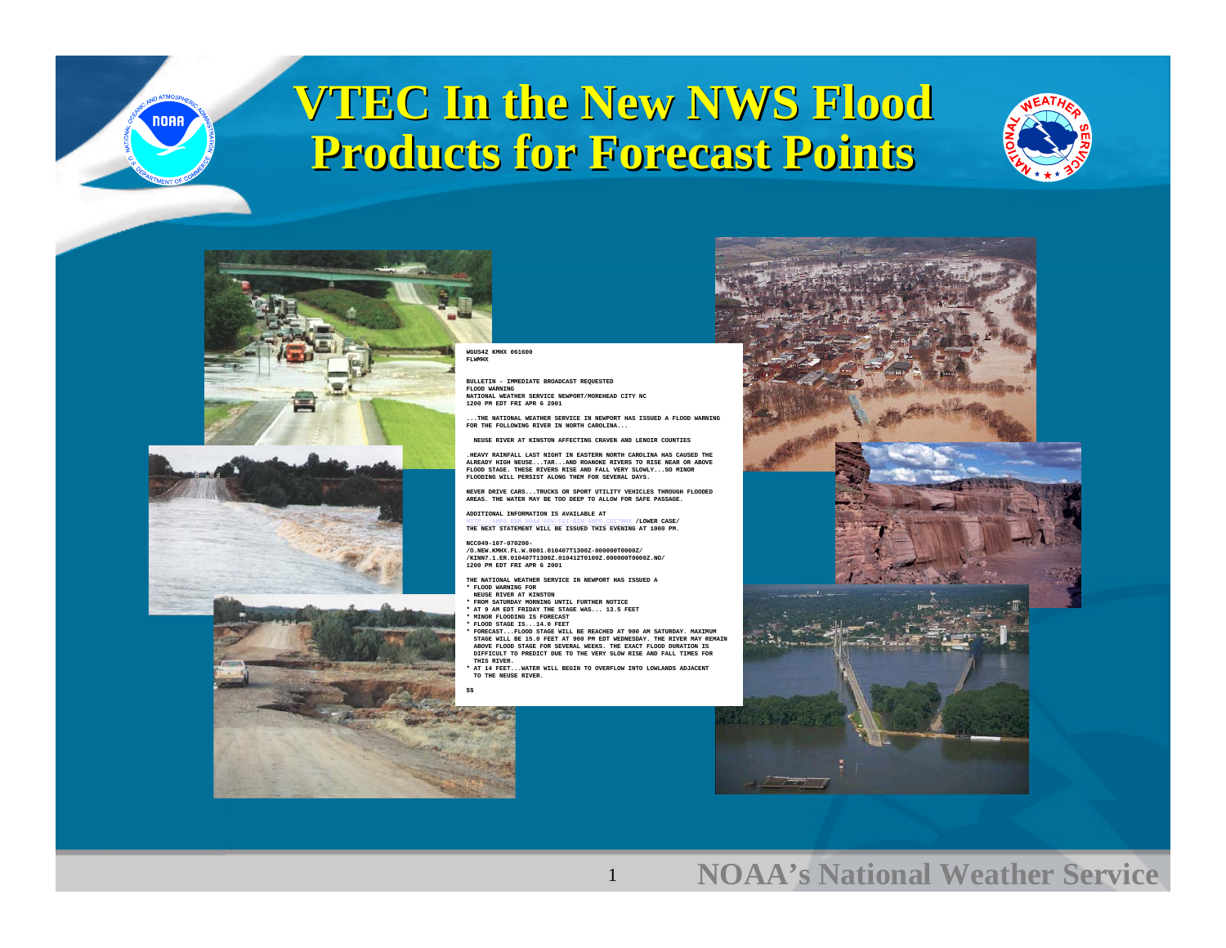

### **VTEC In the New NWS Flood VTEC In the New NWS Flood Products for Forecast Points Products for Forecast Points**









#### **WGUS42 KMHX 061600**

**BULLETIN - IMMEDIATE BROADCAST REQUESTED FLOOD WARNING NATIONAL WEATHER SERVICE NEWPORT/MOREHEAD CITY NC1200 PM EDT FRI APR 6 2001**

**...THE NATIONAL WEATHER SERVICE IN NEWPORT HAS ISSUED A FLOOD WARNINGFOR THE FOLLOWING RIVER IN NORTH CAROLINA...**

**NEUSE RIVER AT KINSTON AFFECTING CRAVEN AND LENOIR COUNTIES**

**.HEAVY RAINFALL LAST NIGHT IN EASTERN NORTH CAROLINA HAS CAUSED THE ALREADY HIGH NEUSE...TAR...AND ROANOKE RIVERS TO RISE NEAR OR ABOVEFLOOD STAGE. THESE RIVERS RISE AND FALL VERY SLOWLY...SO MINOR FLOODING WILL PERSIST ALONG THEM FOR SEVERAL DAYS.**

**NEVER DRIVE CARS...TRUCKS OR SPORT UTILITY VEHICLES THROUGH FLOODEDAREAS. THE WATER MAY BE TOO DEEP TO ALLOW FOR SAFE PASSAGE.**

**ADDITIONAL INFORMATION IS AVAILABLE AT**

**[HTTP://AHPS.ERH.NOAA.GOV/CGI-BIN/AHPS.CGI?MHX](http://ahps.erh.noaa.gov/CGI-BIN/AHPS.CGI?MHX) THE NEXT STATEMENT WILL BE ISSUED THIS EVENING AT 1000 PM. /LOWER CASE/**

#### **NCC049-107-070200-**

 **/O.NEW.KMHX.FL.W.0001.010407T1300Z-000000T0000Z/ /KINN7.1.ER.010407T1300Z.010412T0100Z.000000T0000Z.NO/1200 PM EDT FRI APR 6 2001**

- **THE NATIONAL WEATHER SERVICE IN NEWPORT HAS ISSUED A\* FLOOD WARNING FOR**
- **NEUSE RIVER AT KINSTON**
- **\* FROM SATURDAY MORNING UNTIL FURTHER NOTICE**
- **\* AT 9 AM EDT FRIDAY THE STAGE WAS... 13.5 FEET \* MINOR FLOODING IS FORECAST**
- **\* FLOOD STAGE IS...14.0 FEET**
- **\* FORECAST...FLOOD STAGE WILL BE REACHED AT 900 AM SATURDAY. MAXIMUM STAGE WILL BE 15.0 FEET AT 900 PM EDT WEDNESDAY. THE RIVER MAY REMAIN ABOVE FLOOD STAGE FOR SEVERAL WEEKS. THE EXACT FLOOD DURATION IS DIFFICULT TO PREDICT DUE TO THE VERY SLOW RISE AND FALL TIMES FORTHIS RIVER.**

1

 **\* AT 14 FEET...WATER WILL BEGIN TO OVERFLOW INTO LOWLANDS ADJACENT TO THE NEUSE RIVER.**



### **NOAA's National Weather Service**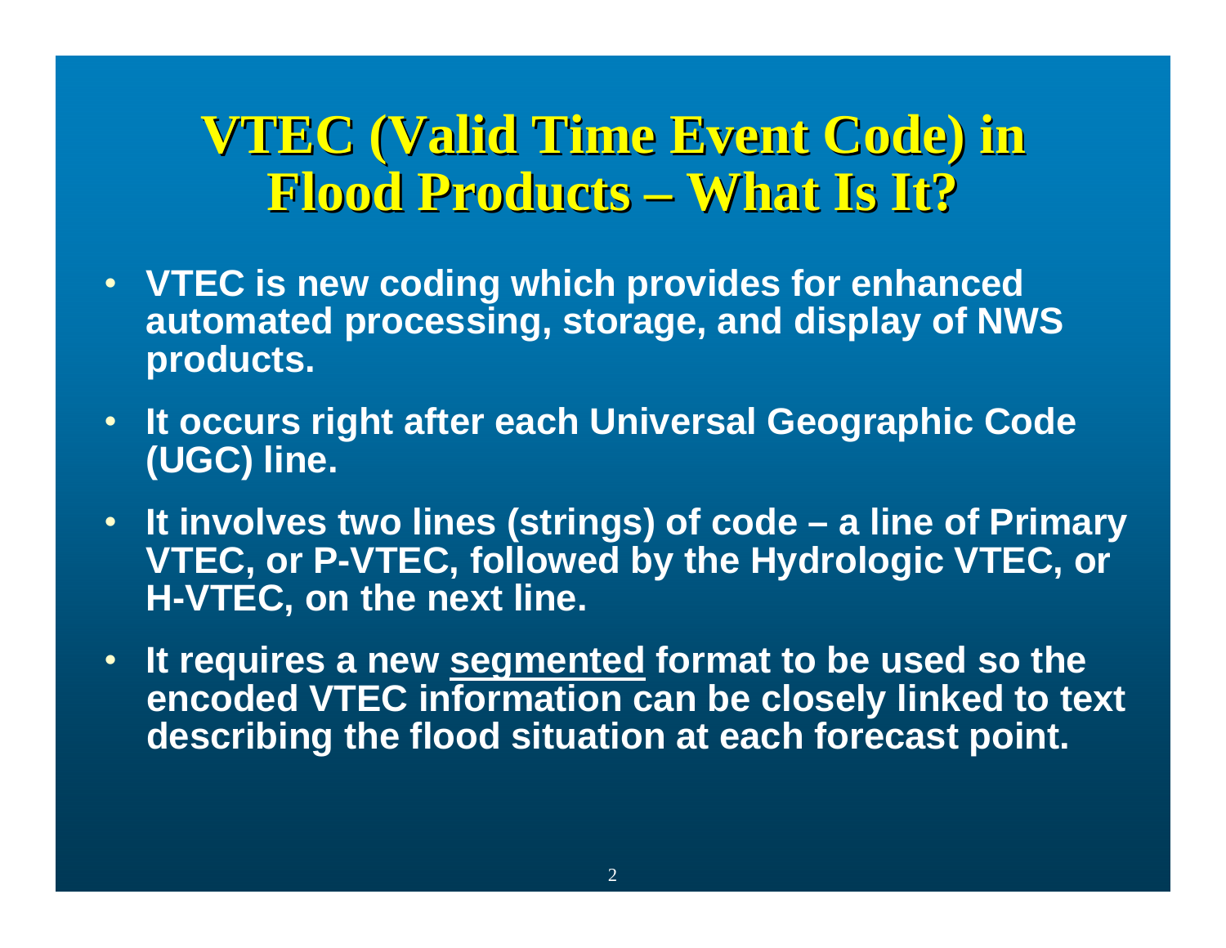## **VTEC (Valid Time Event Code) in VTEC (Valid Time Event Code) in Flood Products Flood Products – What Is It? What Is It?**

- **VTEC is new coding which provides for enhanced automated processing, storage, and display of NWS products.**
- **It occurs right after each Universal Geographic Code (UGC) line.**
- **It involves two lines (strings) of code – a line of Primary VTEC, or P-VTEC, followed by the Hydrologic VTEC, or H-VTEC, on the next line.**
- **It requires a new segmented format to be used so the encoded VTEC information can be closely linked to text describing the flood situation at each forecast point.**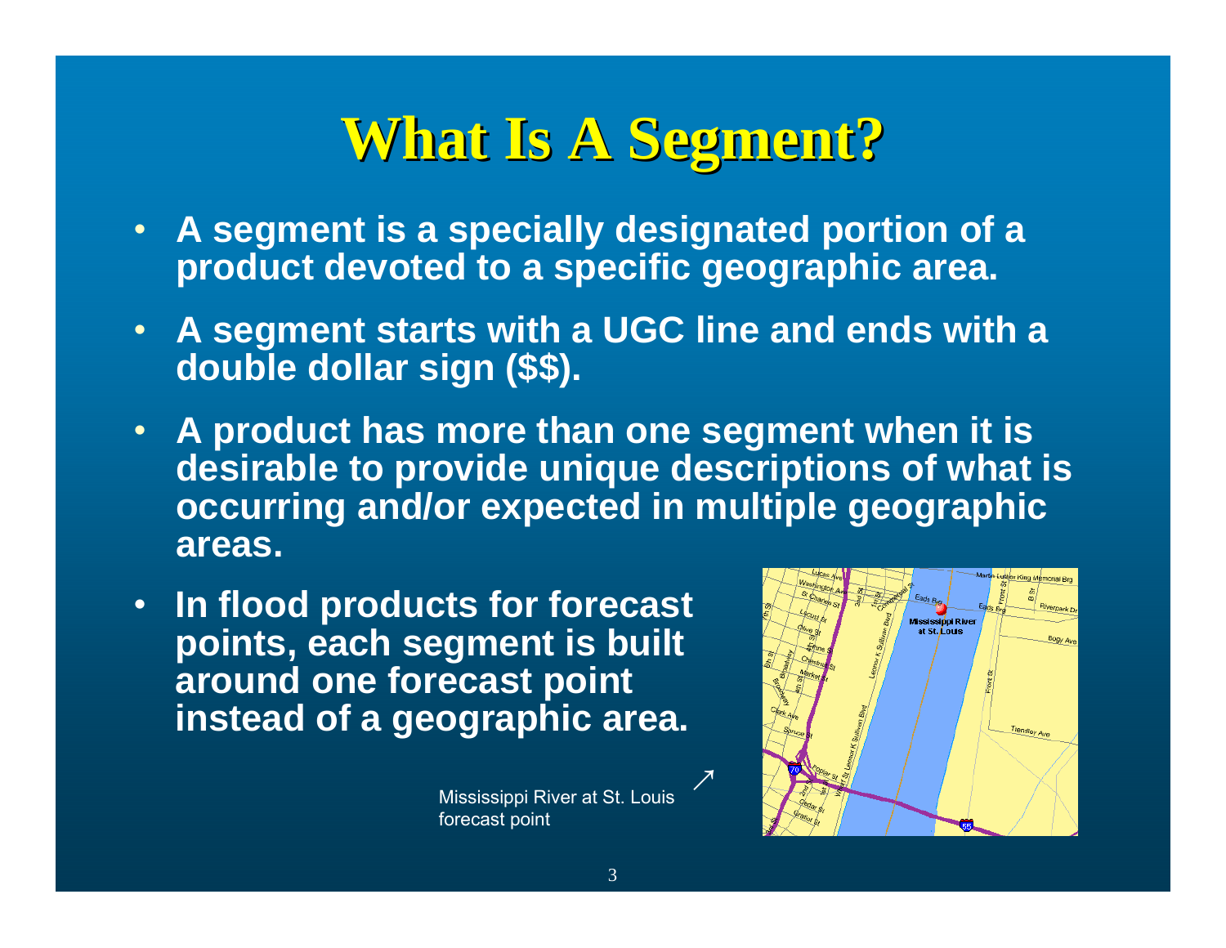# **What Is A Segment? What Is A Segment?**

- **A segment is a specially designated portion of a product devoted to a specific geographic area.**
- **A segment starts with a UGC line and ends with a double dollar sign (\$\$).**
- **A product has more than one segment when it is desirable to provide unique descriptions of what is occurring and/or expected in multiple geographic areas.**
- **In flood products for forecast points, each segment is built around one forecast point instead of a geographic area.**

Mississippi River at St. Louis forecast point



 $\mathcal{L}_{\mathcal{A}}$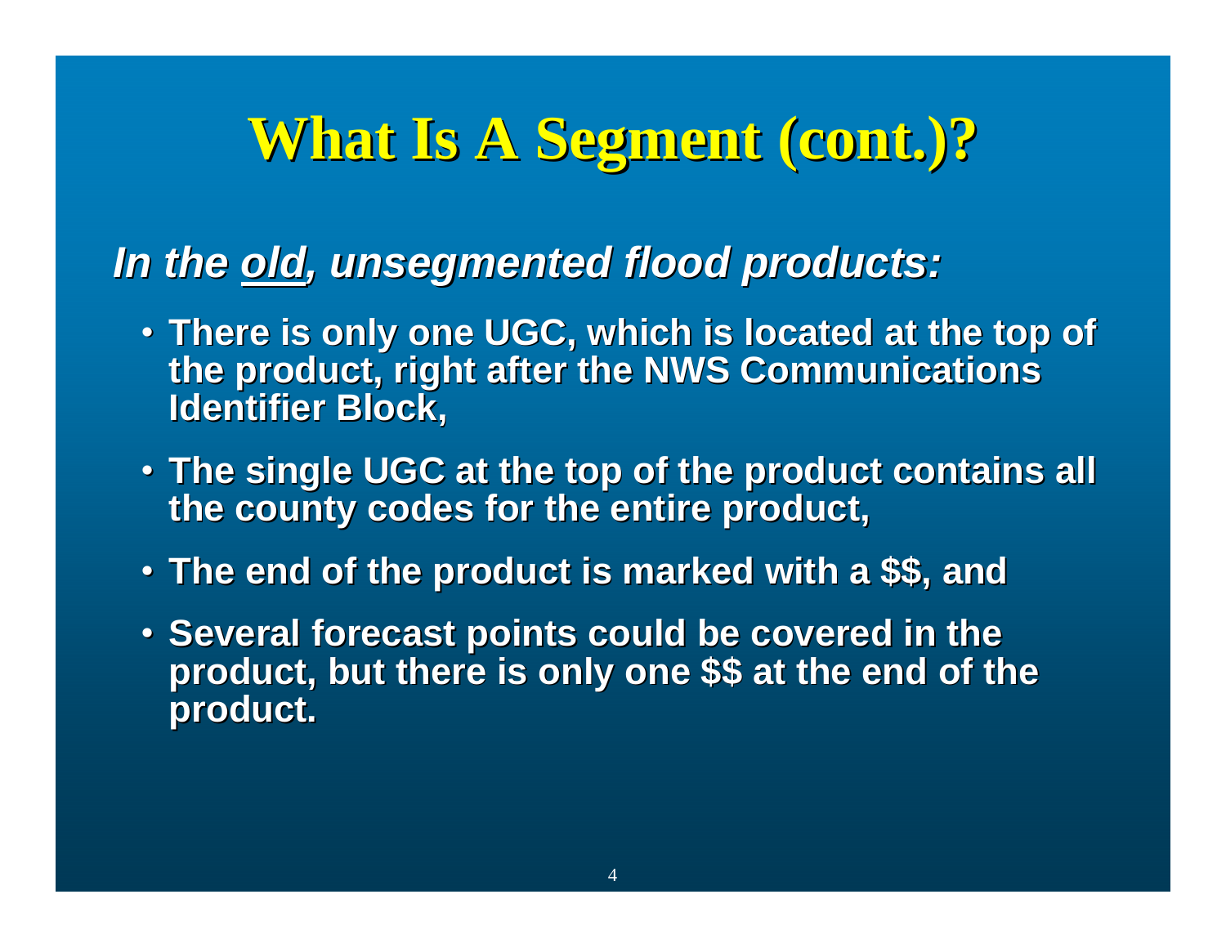### *In the old, unsegmented flood products: , unsegmented flood products:*

- **There is only one UGC, which is located at the top of There is only one UGC, which is located at the top of the product, right after the NWS Communications the product, right after the NWS Communications Identifier Block, Identifier Block,**
- **The single UGC at the top of the product contains all The single UGC at the top of the product contains all the county codes for the entire product, the county codes for the entire product,**
- **The end of the product is marked with a \$\$, and The end of the product is marked with a \$\$, and**
- . Several forecast points could be covered in the product, but there is only one \$\$ at the end of the **product. product.**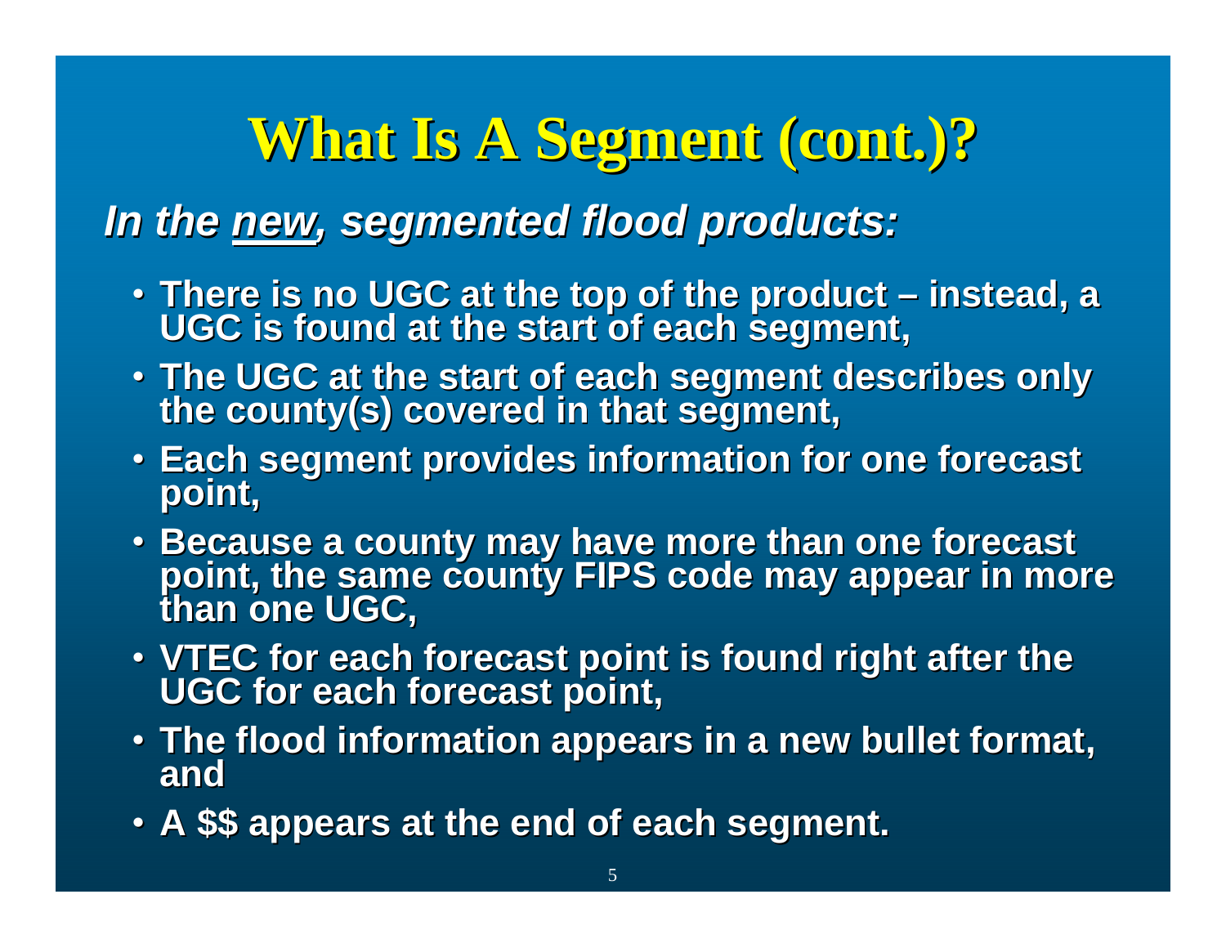### *In the new, segmented flood products: , segmented flood products:*

- There is no UGC at the top of the product instead, a<br>UGC is found at the start of each segment,
- **The UGC at the start of each segment describes only The UGC at the start of each segment describes only the county(s) covered in that segment, the county(s) covered in that segment,**
- Each segment provides information for one forecast<br>point,
- Because a county may have more than one forecast point, the same county FIPS code may appear in more<br>than one UGC.
- VTEC for each forecast point is found right after the UGC for each forecast point,
- **The flood information appears in a new bullet format, The flood information appears in a new bullet format, and**
- **A \$\$ appears at the end of each segment. A \$\$ appears at the end of each segment.**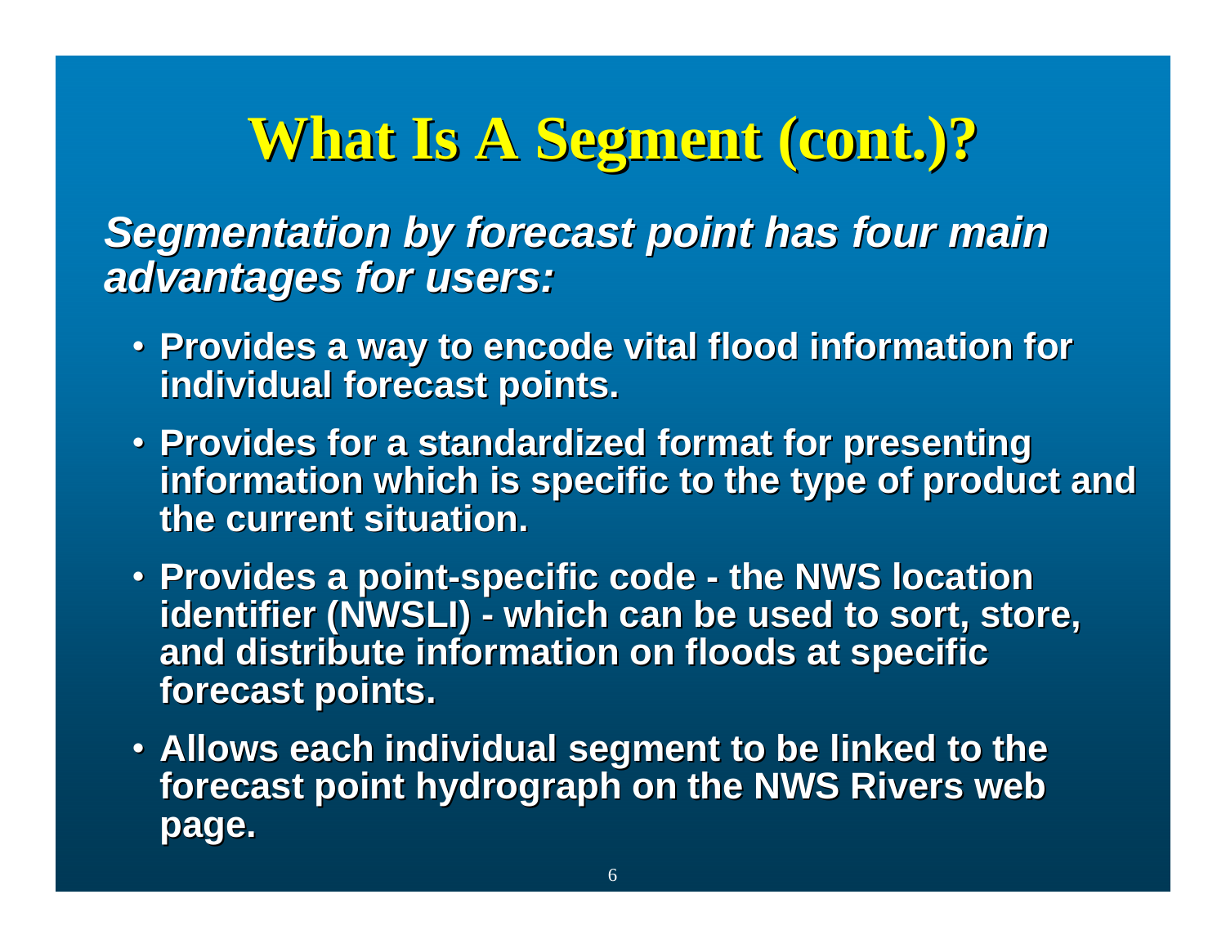**Segmentation by forecast point has four main** *advantages for users: advantages for users:*

- Provides a way to encode vital flood information for **individual forecast points. individual forecast points.**
- Provides for a standardized format for presenting **information which is specific to the type of product and information which is specific to the type of product and the current situation. the current situation.**
- **Provides a point Provides a point-specific code specific code - the NWS location the NWS location identifier (NWSLI) - which can be used to sort, store,** and distribute information on floods at specific **forecast points. forecast points.**
- Allows each individual segment to be linked to the forecast point hydrograph on the NWS Rivers web **page.**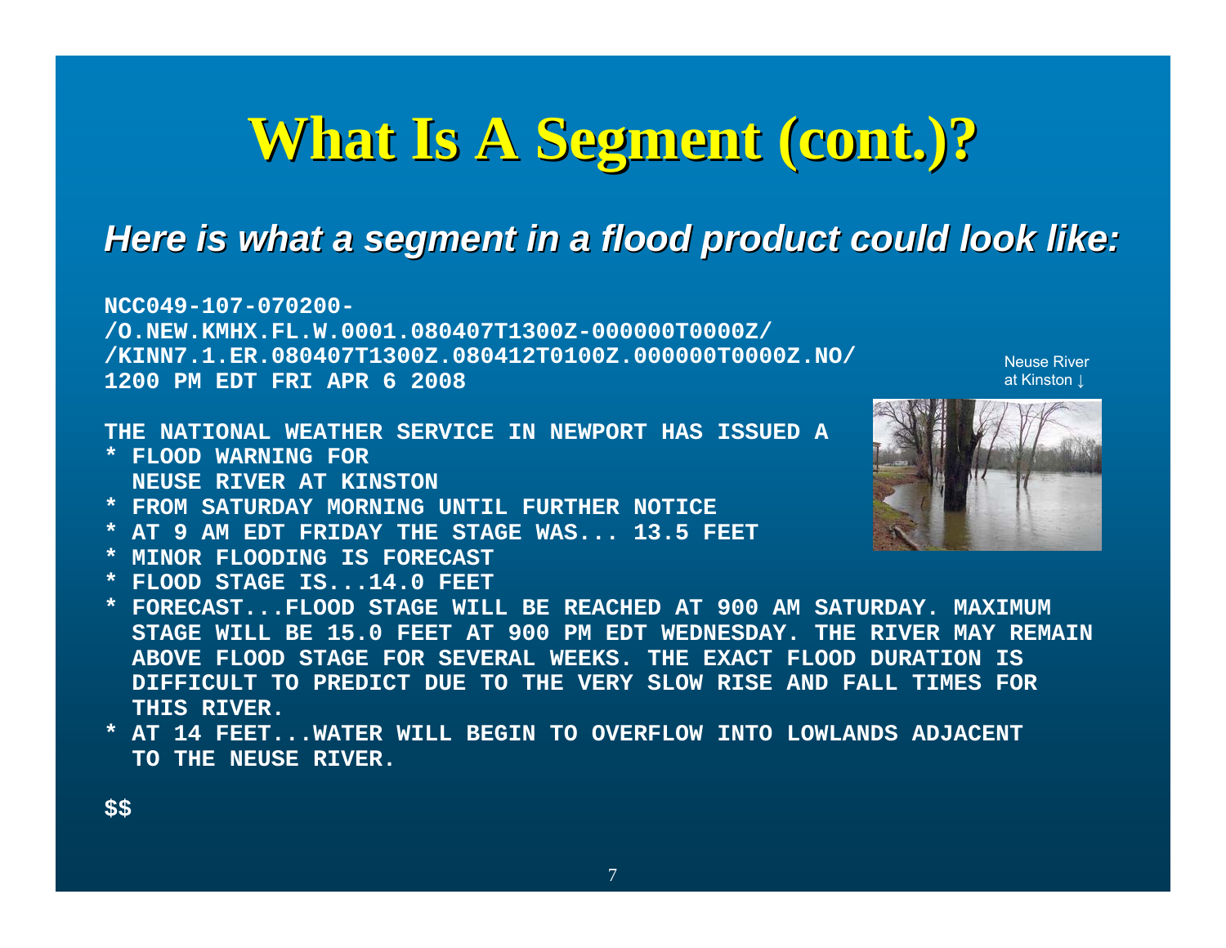### **Here is what a segment in a flood product could look like:**

**NCC049-107-070200-/O.NEW.KMHX.FL.W.0001.080407T1300Z-000000T0000Z/ /KINN7.1.ER.080407T1300Z.080412T0100Z.000000T0000Z.NO/ 1200 PM EDT FRI APR 6 2008**

**THE NATIONAL WEATHER SERVICE IN NEWPORT HAS ISSUED A**

- **\* FLOOD WARNING FORNEUSE RIVER AT KINSTON**
- **\* FROM SATURDAY MORNING UNTIL FURTHER NOTICE**
- **\* AT 9 AM EDT FRIDAY THE STAGE WAS... 13.5 FEET**
- **\* MINOR FLOODING IS FORECAST**
- **\* FLOOD STAGE IS...14.0 FEET**
- **\* FORECAST...FLOOD STAGE WILL BE REACHED AT 900 AM SATURDAY. MAXIMUMSTAGE WILL BE 15.0 FEET AT 900 PM EDT WEDNESDAY. THE RIVER MAY REMAIN ABOVE FLOOD STAGE FOR SEVERAL WEEKS. THE EXACT FLOOD DURATION ISDIFFICULT TO PREDICT DUE TO THE VERY SLOW RISE AND FALL TIMES FORTHIS RIVER.**
- **\* AT 14 FEET...WATER WILL BEGIN TO OVERFLOW INTO LOWLANDS ADJACENT TO THE NEUSE RIVER.**



Neuse River at Kinston ↓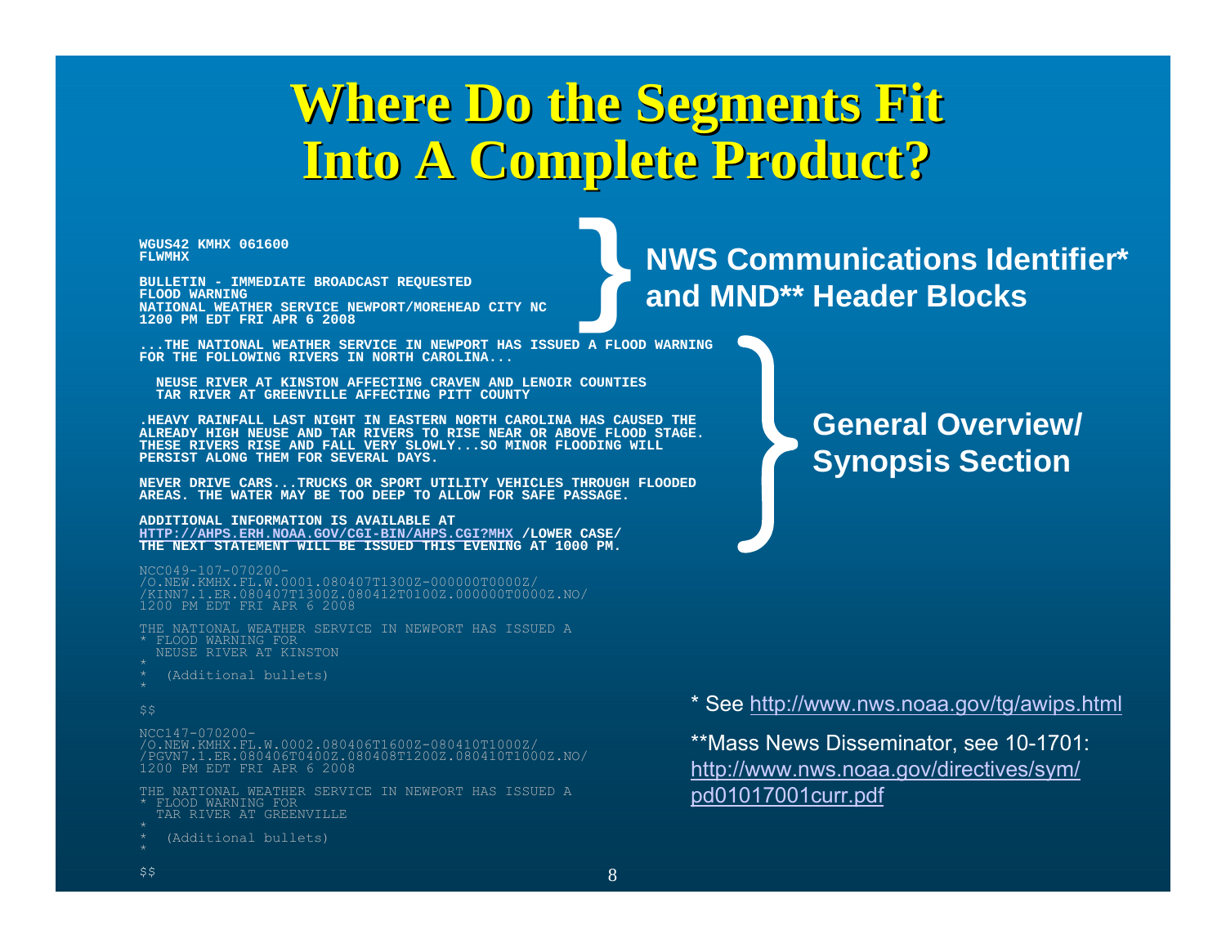## **Where Do the Segments Fit Where Do the Segments Fit Into A Complete Product? Into A Complete Product?**

**WGUS42 KMHX 061600FLWMHX**

**BULLETIN - IMMEDIATE BROADCAST REQUESTED FLOOD WARNING NATIONAL WEATHER SERVICE NEWPORT/MOREHEAD CITY NC 1200 PM EDT FRI APR 6 2008**

**...THE NATIONAL WEATHER SERVICE IN NEWPORT HAS ISSUED A FLOOD WARNINGFOR THE FOLLOWING RIVERS IN NORTH CAROLINA...**

**NEUSE RIVER AT KINSTON AFFECTING CRAVEN AND LENOIR COUNTIESTAR RIVER AT GREENVILLE AFFECTING PITT COUNTY**

**.HEAVY RAINFALL LAST NIGHT IN EASTERN NORTH CAROLINA HAS CAUSED THEALREADY HIGH NEUSE AND TAR RIVERS TO RISE NEAR OR ABOVE FLOOD STAGE.THESE RIVERS RISE AND FALL VERY SLOWLY...SO MINOR FLOODING WILLPERSIST ALONG THEM FOR SEVERAL DAYS.**

**NEVER DRIVE CARS...TRUCKS OR SPORT UTILITY VEHICLES THROUGH FLOODEDAREAS. THE WATER MAY BE TOO DEEP TO ALLOW FOR SAFE PASSAGE.**

**ADDITIONAL INFORMATION IS AVAILABLE AT [HTTP://AHPS.ERH.NOAA.GOV/CGI-BIN/AHPS.CGI?MHX](http://ahps.erh.noaa.gov/CGI-BIN/AHPS.CGI?MHX) /LOWER CASE/ THE NEXT STATEMENT WILL BE ISSUED THIS EVENING AT 1000 PM.**

NCC049-107-070200- /O.NEW.KMHX.FL.W.0001.080407T1300Z-000000T0000Z/ /KINN7.1.ER.080407T1300Z.080412T0100Z.000000T0000Z.NO/ 1200 PM EDT FRI APR 6 2008

THE NATIONAL WEATHER SERVICE IN NEWPORT HAS ISSUED A\* FLOOD WARNING FORNEUSE RIVER AT KINSTON

- 
- (Additional bullets) \*

#### \$\$

NCC147-070200-

 /O.NEW.KMHX.FL.W.0002.080406T1600Z-080410T1000Z/ /PGVN7.1.ER.080406T0400Z.080408T1200Z.080410T1000Z.NO/ 1200 PM EDT FRI APR 6 2008

THE NATIONAL WEATHER SERVICE IN NEWPORT HAS ISSUED A\* FLOOD WARNING FORTAR RIVER AT GREENVILLE

(Additional bullets)

# **}NWS Communications Identifier\* and MND\*\* Header Blocks**

**General Overview/ Synopsis Section** 

\* See<http://www.nws.noaa.gov/tg/awips.html>

\*\*Mass News Disseminator, see 10-1701: [http://www.nws.noaa.gov/directives/sym/](http://www.nws.noaa.gov/directives/sym/pd01017001curr.pdf) [pd01017001curr.pdf](http://www.nws.noaa.gov/directives/sym/pd01017001curr.pdf)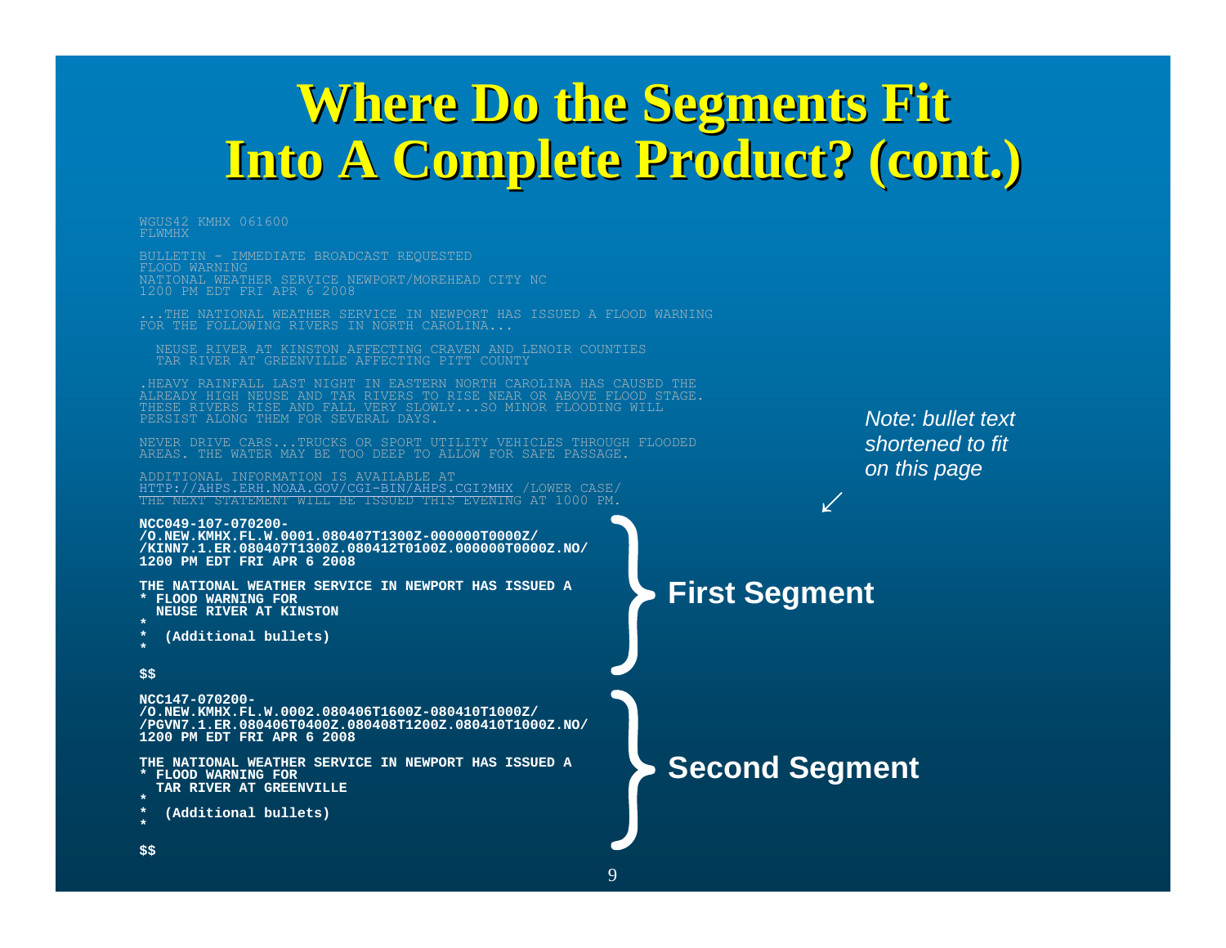## **Where Do the Segments Fit Where Do the Segments Fit Into A Complete Product? (cont.) Into A Complete Product? (cont.)**

WGUS42 KMHX 061600FLWMHX

BULLETIN - IMMEDIATE BROADCAST REQUESTED FLOOD WARNING NATIONAL WEATHER SERVICE NEWPORT/MOREHEAD CITY NC 1200 PM EDT FRI APR 6 2008

...THE NATIONAL WEATHER SERVICE IN NEWPORT HAS ISSUED A FLOOD WARNING FOR THE FOLLOWING RIVERS IN NORTH CAROLINA...

NEUSE RIVER AT KINSTON AFFECTING CRAVEN AND LENOIR COUNTIES TAR RIVER AT GREENVILLE AFFECTING PITT COUNTY

.HEAVY RAINFALL LAST NIGHT IN EASTERN NORTH CAROLINA HAS CAUSED THE ALREADY HIGH NEUSE AND TAR RIVERS TO RISE NEAR OR ABOVE FLOOD STAGE. THESE RIVERS RISE AND FALL VERY SLOWLY...SO MINOR FLOODING WILL PERSIST ALONG THEM FOR SEVERAL DAYS.

NEVER DRIVE CARS...TRUCKS OR SPORT UTILITY VEHICLES THROUGH FLOODEDAREAS. THE WATER MAY BE TOO DEEP TO ALLOW FOR SAFE PASSAGE.

ADDITIONAL INFORMATION IS AVAILABLE AT [HTTP://AHPS.ERH.NOAA.GOV/CGI-BIN/AHPS.CGI?MHX](http://ahps.erh.noaa.gov/CGI-BIN/AHPS.CGI?MHX) /LOWER CASE/ THE NEXT STATEMENT WILL BE ISSUED THIS EVENING AT 1000 PM.

#### **NCC049-107-070200-**

**/O.NEW.KMHX.FL.W.0001.080407T1300Z-000000T0000Z/ /KINN7.1.ER.080407T1300Z.080412T0100Z.000000T0000Z.NO/ 1200 PM EDT FRI APR 6 2008**

**THE NATIONAL WEATHER SERVICE IN NEWPORT HAS ISSUED A\* FLOOD WARNING FOR**

- **NEUSE RIVER AT KINSTON\***
- **\* (Additional bullets)**
- **\***
- **\$\$**

#### **NCC147-070200-**

 **/O.NEW.KMHX.FL.W.0002.080406T1600Z-080410T1000Z/ /PGVN7.1.ER.080406T0400Z.080408T1200Z.080410T1000Z.NO/ 1200 PM EDT FRI APR 6 2008**

**THE NATIONAL WEATHER SERVICE IN NEWPORT HAS ISSUED A\* FLOOD WARNING FORTAR RIVER AT GREENVILLE\*** 

```
* (Additional bullets)
```
**\*\$\$** *Note: bullet text shortened to fit on this page*

**First Segment**

↓

**Second Segment**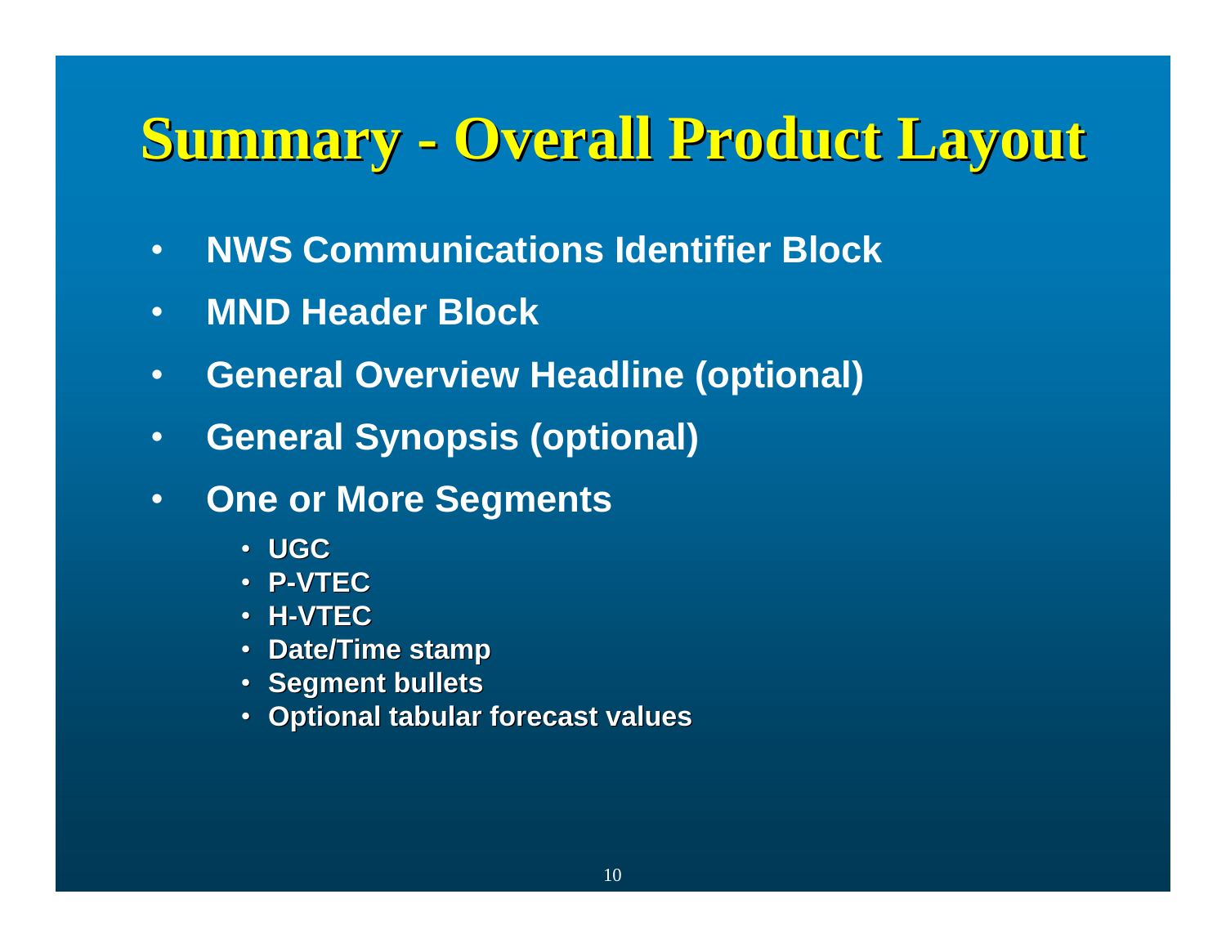# **Summary - Overall Product Layout**

- •**NWS Communications Identifier Block**
- •**MND Header Block**
- •**General Overview Headline (optional)**
- •**General Synopsis (optional)**
- • **One or More Segments**
	- **UGC**
	- **P-VTEC**
	- **H-VTEC**
	- **Date/Time stamp Date/Time stamp**
	- **Segment bullets**
	- **Optional tabular forecast values Optional tabular forecast values**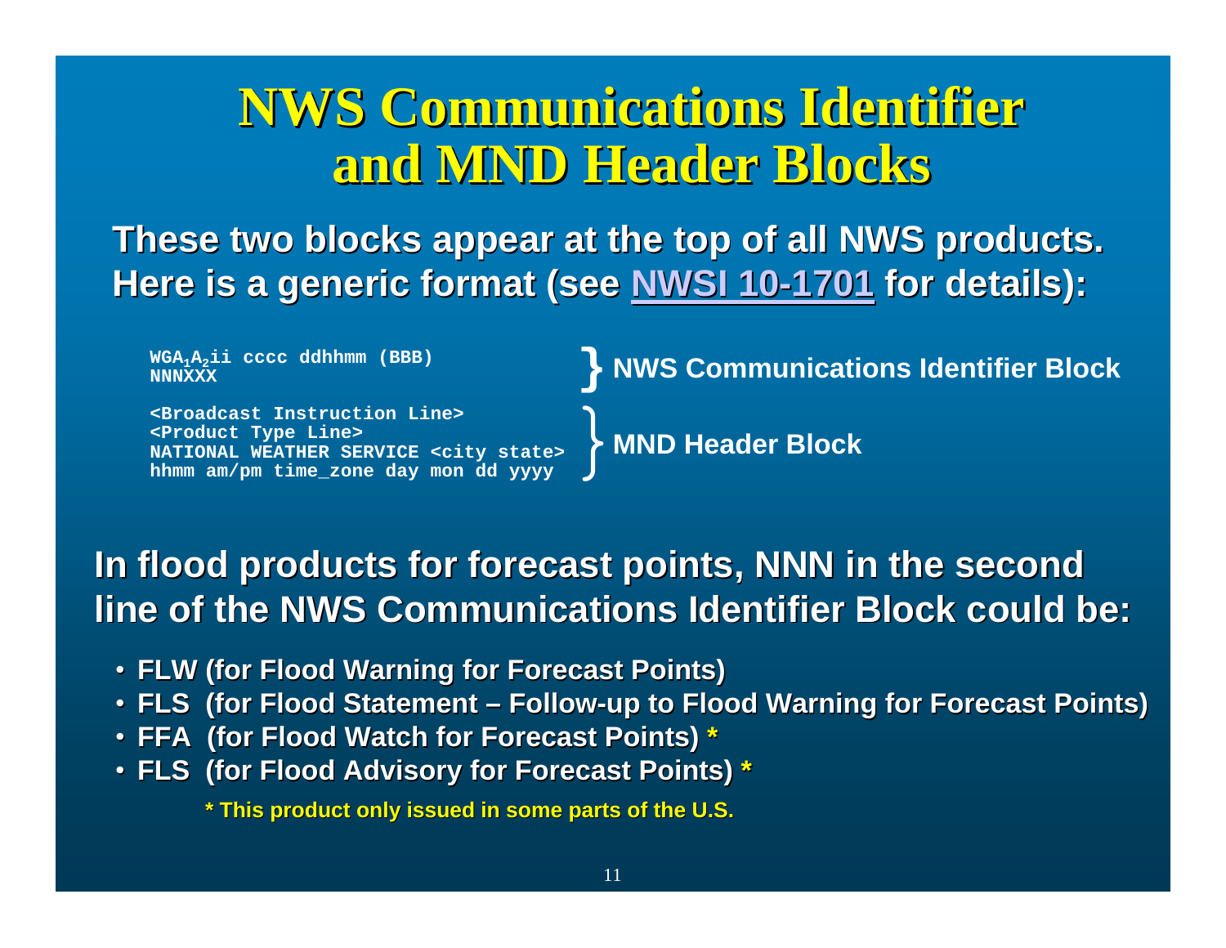## **NWS Communications Identifier NWS Communications Identifier NWS Communications Identifier and MND Header Blocks and MND Header Blocks and MND Header Blocks**

These two blocks appear at the top of all NWS products. **Here is a generic format (see [NWSI 10-1701](http://www.nws.noaa.gov/directives/sym/pd01017001curr.pdf) for details):** 

**WGA1A2ii cccc ddhhmm (BBB) NNNXXX**

**<Broadcast Instruction Line><Product Type Line> NATIONAL WEATHER SERVICE <city state> hhmm am/pm time\_zone day mon dd yyyy**

**} NWS Communications Identifier Block** 

}**MND Header Block**

### In flood products for forecast points, NNN in the second **line of the NWS Communications Identifier Block could be: line of the NWS Communications Identifier Block could be:**

- **FLW (for Flood Warning for Forecast Points) FLW (for Flood Warning for Forecast Points)**
- FLS (for Flood Statement Follow-up to Flood Warning for Forecast Points)
- **FFA (for Flood Watch for Forecast Points) FFA (for Flood Watch for Forecast Points) \***
- FLS (for Flood Advisory for Forecast Points) \*

\* This product only issued in some parts of the U.S.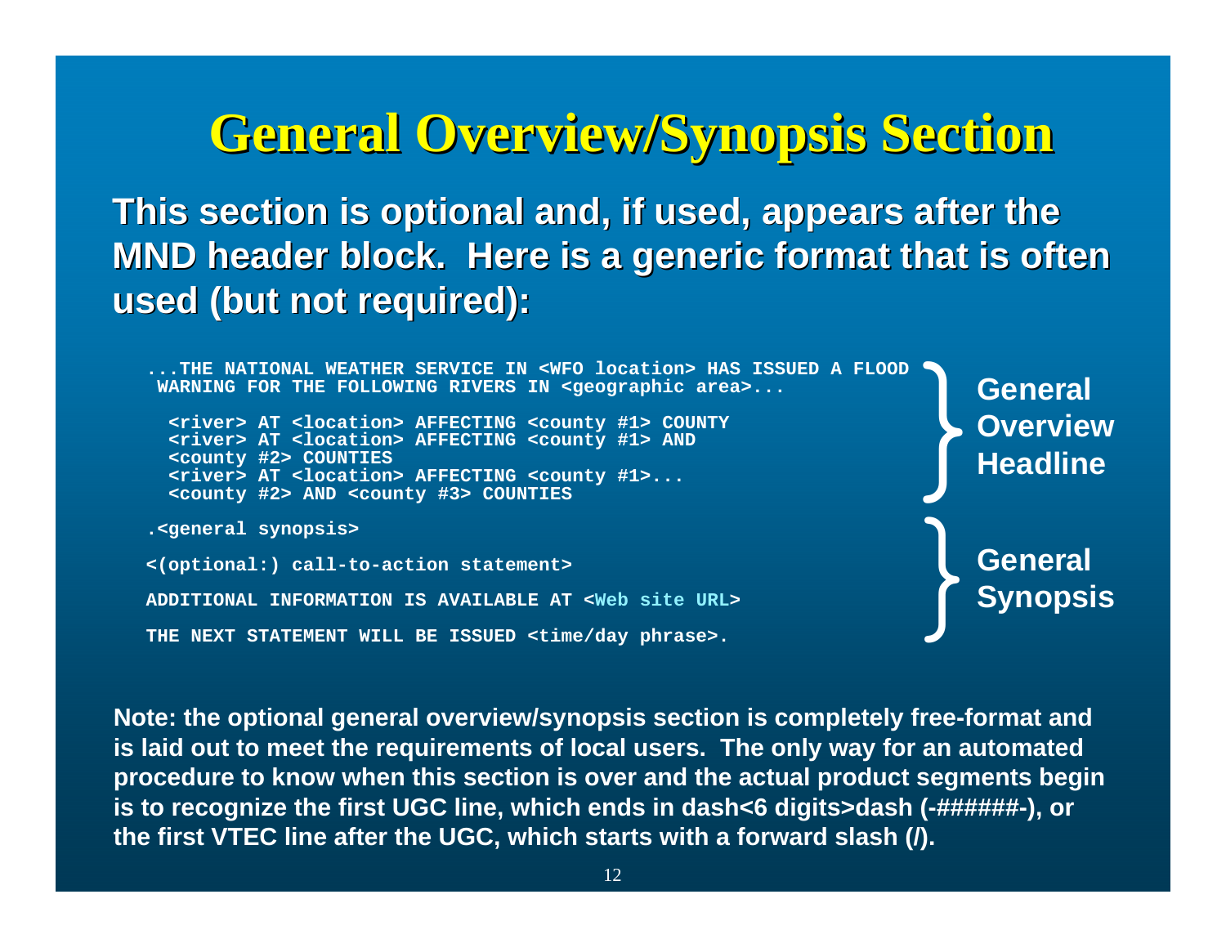## **General Overview/Synopsis Section General Overview/Synopsis Section**

**This section is optional and, if used, appears after the MND header block. Here is a generic format that is often used (but not required): used (but not required):**

```
...THE NATIONAL WEATHER SERVICE IN <WFO location> HAS ISSUED A FLOODWARNING FOR THE FOLLOWING RIVERS IN <geographic area>...
  <river> AT <location> AFFECTING <county #1> COUNTY
  <river> AT <location> AFFECTING <county #1> AND
  <county #2> COUNTIES
  <river> AT <location> AFFECTING <county #1>...
  <county #2> AND <county #3> COUNTIES
.<general synopsis>
<(optional:) call-to-action statement>
ADDITIONAL INFORMATION IS AVAILABLE AT <Web site URL>THE NEXT STATEMENT WILL BE ISSUED <time/day phrase>.
                                                                              General<br>Overview<br>Headline
                                                                              General<br>Synopsis
```
**Note: the optional general overview/synopsis section is completely free-format and is laid out to meet the requirements of local users. The only way for an automated procedure to know when this section is over and the actual product segments begin is to recognize the first UGC line, which ends in dash<6 digits>dash (-######-), or the first VTEC line after the UGC, which starts with a forward slash (/).**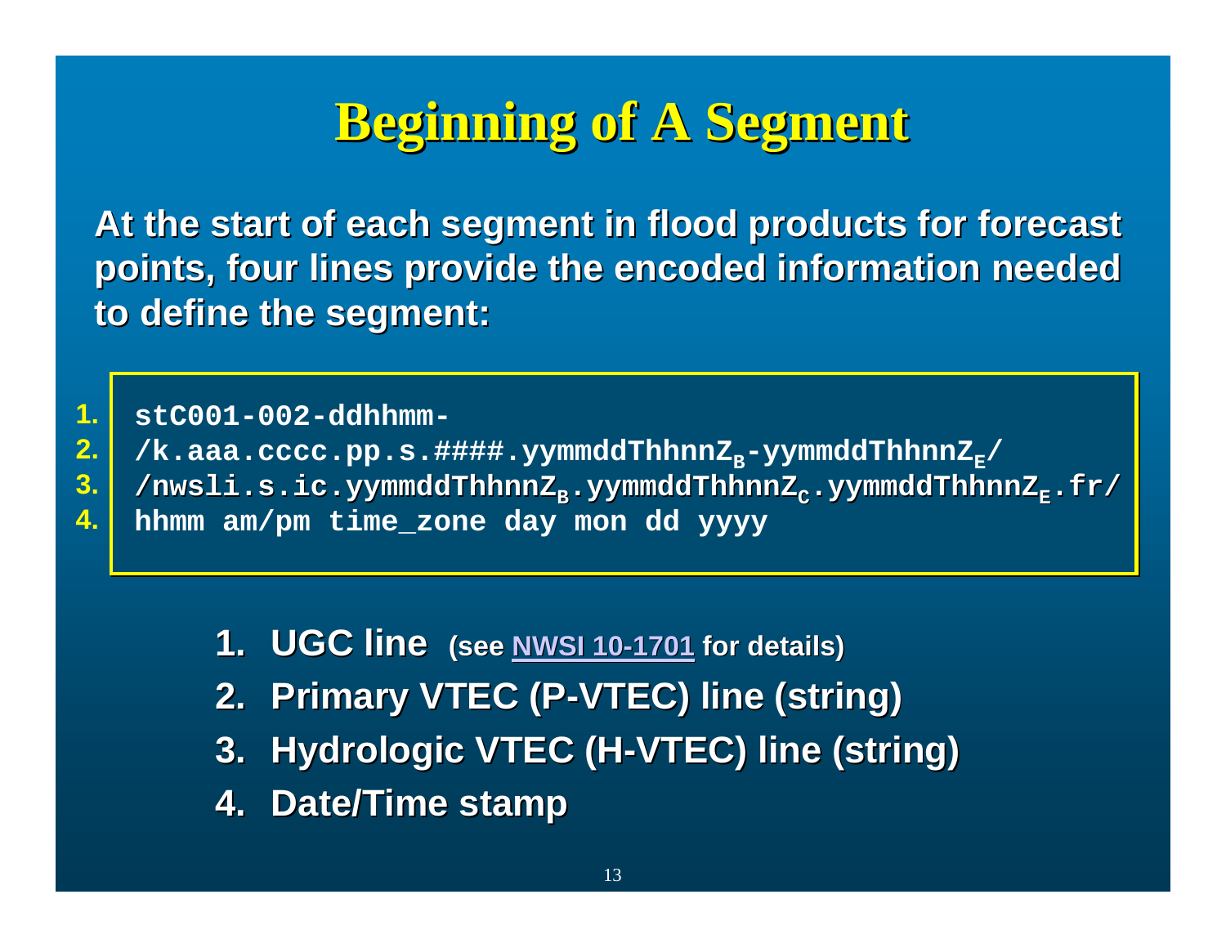## **Beginning of A Segment Beginning of A Segment Beginning of A Segment**

At the start of each segment in flood products for forecast points, four lines provide the encoded information needed **to define the segment: to define the segment:**

**stC001-002-ddhhmm-stC001-002-ddhhmm-1.**

**2.**

- /k.aaa.cccc.pp.s.####.yymmddThhnnZ<sub>B</sub>-yymmddThhnnZ<sub>E</sub>/
- /nwsli.s.ic.yymmddThhnnZ<sub>B</sub>.yymmddThhnnZ<sub>c</sub>.yymmddThhnnZ<sub>E</sub>.fr/ **3.**
- **hhmm am/pm time\_zone day mon dd yyyy hhmm am/pm time\_zone day mon dd yyyy 4.**

- **1. UGC line UGC line (see NWSI 10 [NWSI 10-1701](http://www.nws.noaa.gov/directives/sym/pd01017001curr.pdf) for details) for details)**
- **2. Primary VTEC (P Primary VTEC (P-VTEC) line (string) VTEC) line (string)**
- **3. Hydrologic VTEC (H-VTEC) line (string)**
- **4. Date/Time stamp Date/Time stamp**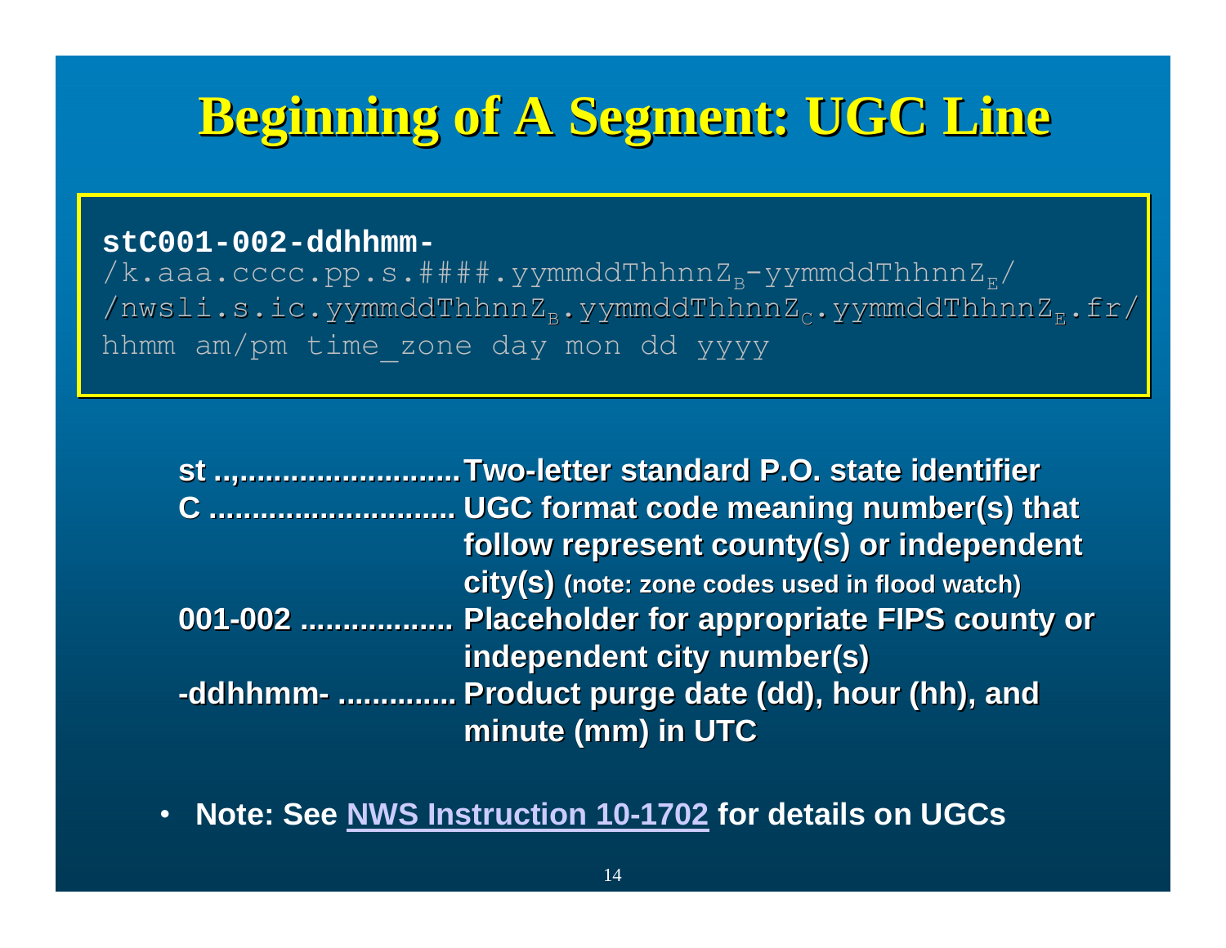## **Beginning of A Segment: UGC Line Beginning of A Segment: UGC Line Beginning of A Segment: UGC Line**

### **stC001-002-ddhhmm-stC001-002-ddhhmm-**

/k.aaa.cccc.pp.s.####.yymmddThhnnZ<sub>B</sub>-yymmddThhnnZ<sub>E</sub>/ /nwsli.s.ic.yymmddThhnnZ<sub>B</sub>.yymmddThhnnZ<sub>c</sub>.yymmddThhnnZ<sub>E</sub>.fr/ hhmm am/pm time\_zone day mon dd yyyy hhmm am/pm time\_zone day mon dd yyyy

| st Two-letter standard P.O. state identifier        |
|-----------------------------------------------------|
| C  UGC format code meaning number(s) that           |
| follow represent county(s) or independent           |
| City(S) (note: zone codes used in flood watch)      |
| 001-002  Placeholder for appropriate FIPS county or |
| independent city number(s)                          |
| -ddhhmm-  Product purge date (dd), hour (hh), and   |
| minute (mm) in UTC                                  |

•**Note: See [NWS Instruction 10-1702](http://www.nws.noaa.gov/directives/sym/pd01017002curr.pdf) for details on UGCs**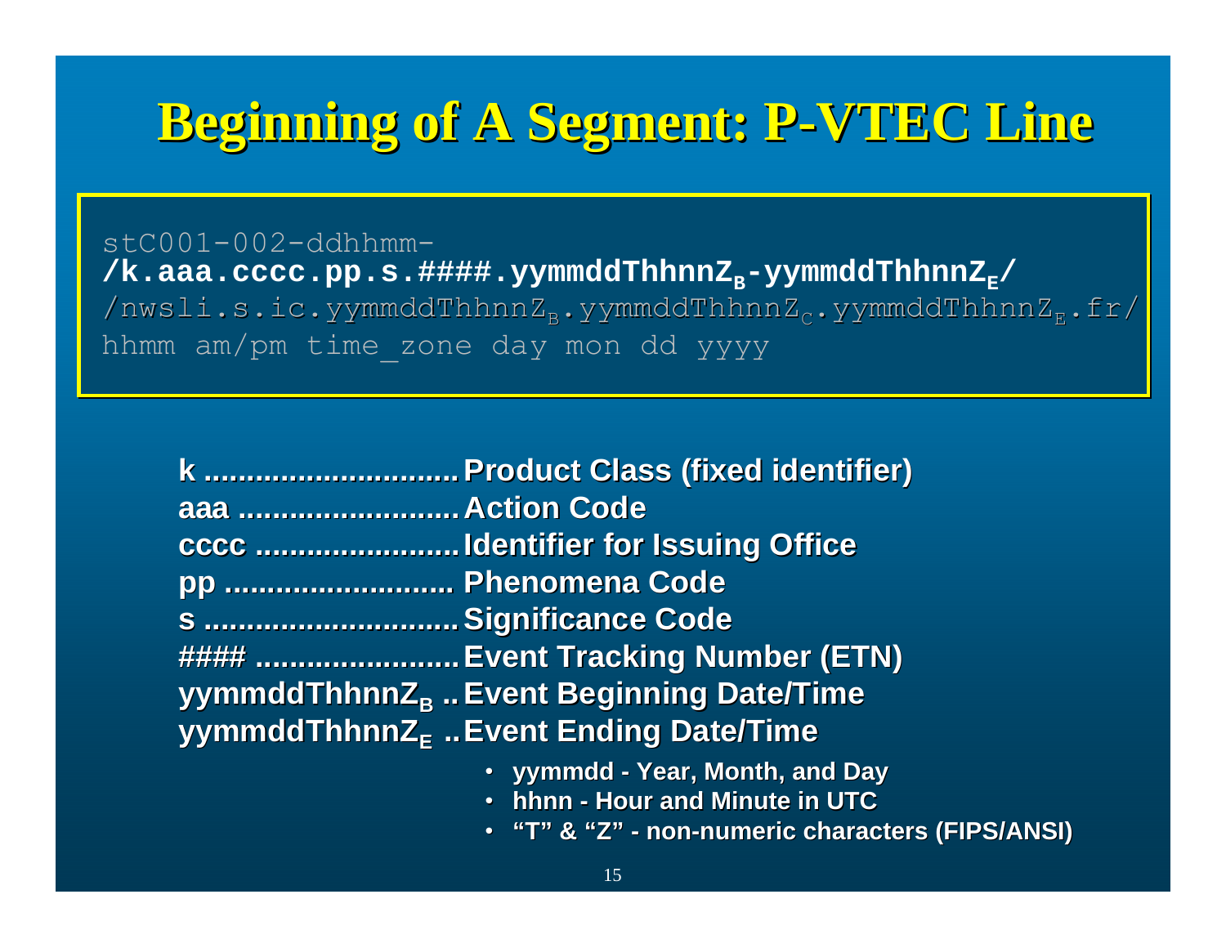## **Beginning of A Segment: P Beginning of A Segment: P-VTEC Line Beginning of A P-VTEC Line VTEC Line**

stC001-002-ddhhmm-/k.aaa.cccc.pp.s.####.yymmddThhnnZ<sub>B</sub>-yymmddThhnnZ<sub>E</sub>/ /nwsli.s.ic.yymmddThhnnZ<sub>B</sub>.yymmddThhnnZ<sub>c</sub>.yymmddThhnnZ<sub>E</sub>.fr/ hhmm am/pm time\_zone day mon dd yyyy hhmm am/pm time\_zone day mon dd yyyy

|                      | k  Product Class (fixed identifier)                 |
|----------------------|-----------------------------------------------------|
| aaa  Action Code     |                                                     |
|                      |                                                     |
| pp  Phenomena Code   |                                                     |
| s  Significance Code |                                                     |
|                      | ####  Event Tracking Number (ETN)                   |
|                      | yymmddThhnnZ <sub>B</sub> Event Beginning Date/Time |
|                      | yymmddThhnnZ <sub>F</sub> Event Ending Date/Time    |
|                      | • yymmdd - Year, Month, and Day                     |

- **hhnn Hour and Minute in UTC**
- **"T" & "Z" - non-numeric characters (FIPS/ANSI) numeric characters**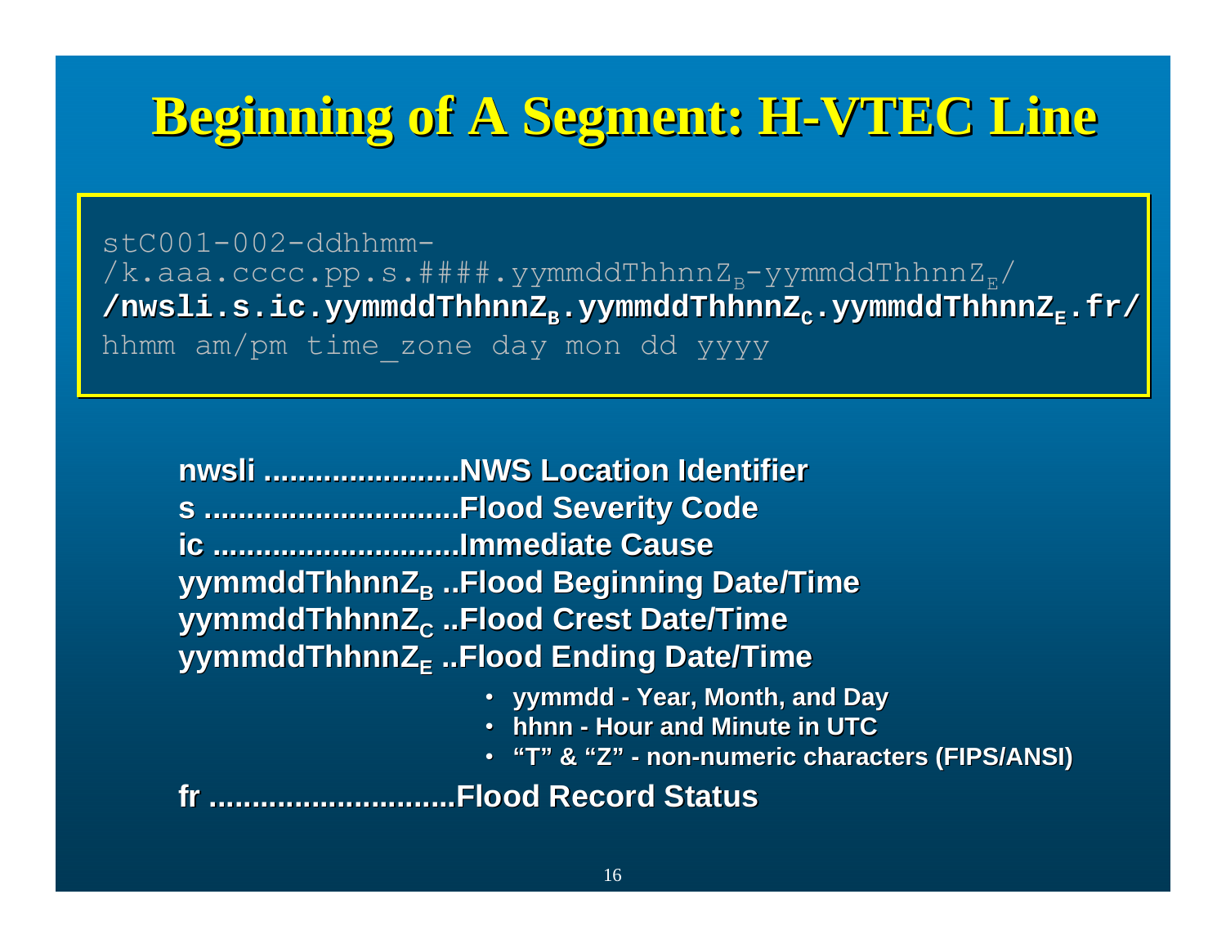## **Beginning of A Segment: H Beginning of A Segment: H-VTEC Line Beginning of A Segment: H-VTEC Line VTEC Line**

stC001-002-ddhhmm-/k.aaa.cccc.pp.s.####.yymmddThhnnZ<sub>B</sub>-yymmddThhnnZ<sub>E</sub>/ /nwsli.s.ic.yymmddThhnnZ<sub>B</sub>.yymmddThhnnZ<sub>c</sub>.yymmddThhnnZ<sub>E</sub>.fr/ hhmm am/pm time\_zone day mon dd yyyy hhmm am/pm time\_zone day mon dd yyyy

|                                                  | nwsli NWS Location Identifier                       |  |
|--------------------------------------------------|-----------------------------------------------------|--|
|                                                  | s Flood Severity Code                               |  |
| ic Immediate Cause                               |                                                     |  |
|                                                  | yymmddThhnnZ <sub>B</sub> Flood Beginning Date/Time |  |
|                                                  | yymmddThhnnZ <sub>c</sub> Flood Crest Date/Time     |  |
| yymmddThhnnZ <sub>F</sub> Flood Ending Date/Time |                                                     |  |
|                                                  | • yymmdd - Year, Month, and Day                     |  |
|                                                  | . hhnn - Hour and Minute in UTC                     |  |
|                                                  | • "T" & "Z" - non-numeric characters (FIPS/ANSI)    |  |
|                                                  | Flood Record Status                                 |  |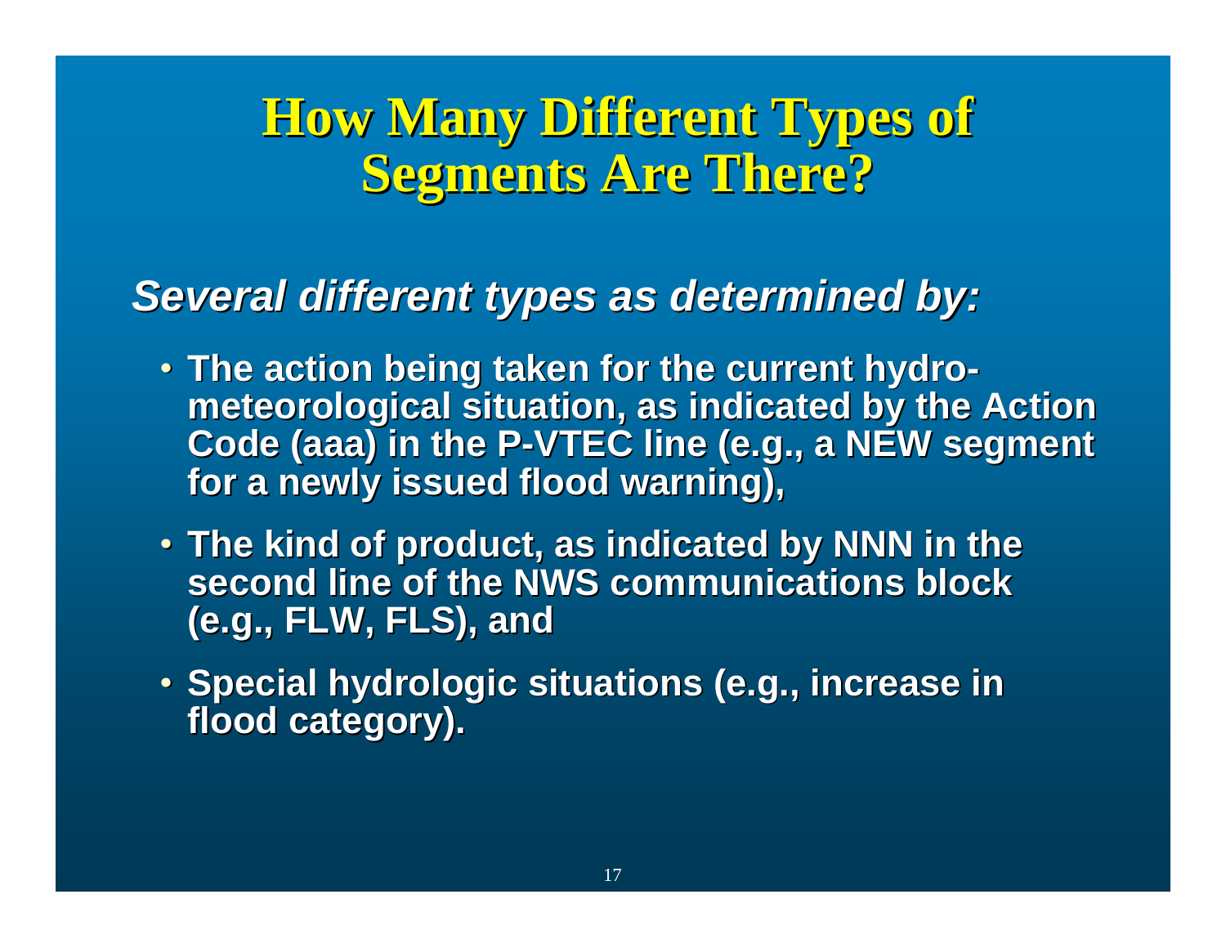## **How Many Different Types of Segments Are There? Segments Are There?**

### *Several different types as determined by: Several different types as determined by:*

- The action being taken for the current hydro**meteorological situation, as indicated by the Action meteorological situation, as indicated by the Action Code (aaa) in the P-VTEC line (e.g., a NEW segment** for a newly issued flood warning),
- The kind of product, as indicated by NNN in the **second line of the NWS communications block second line of the NWS communications block (e.g., FLW, FLS), and (e.g., FLW, FLS), and**
- Special hydrologic situations (e.g., increase in **flood category). flood category).**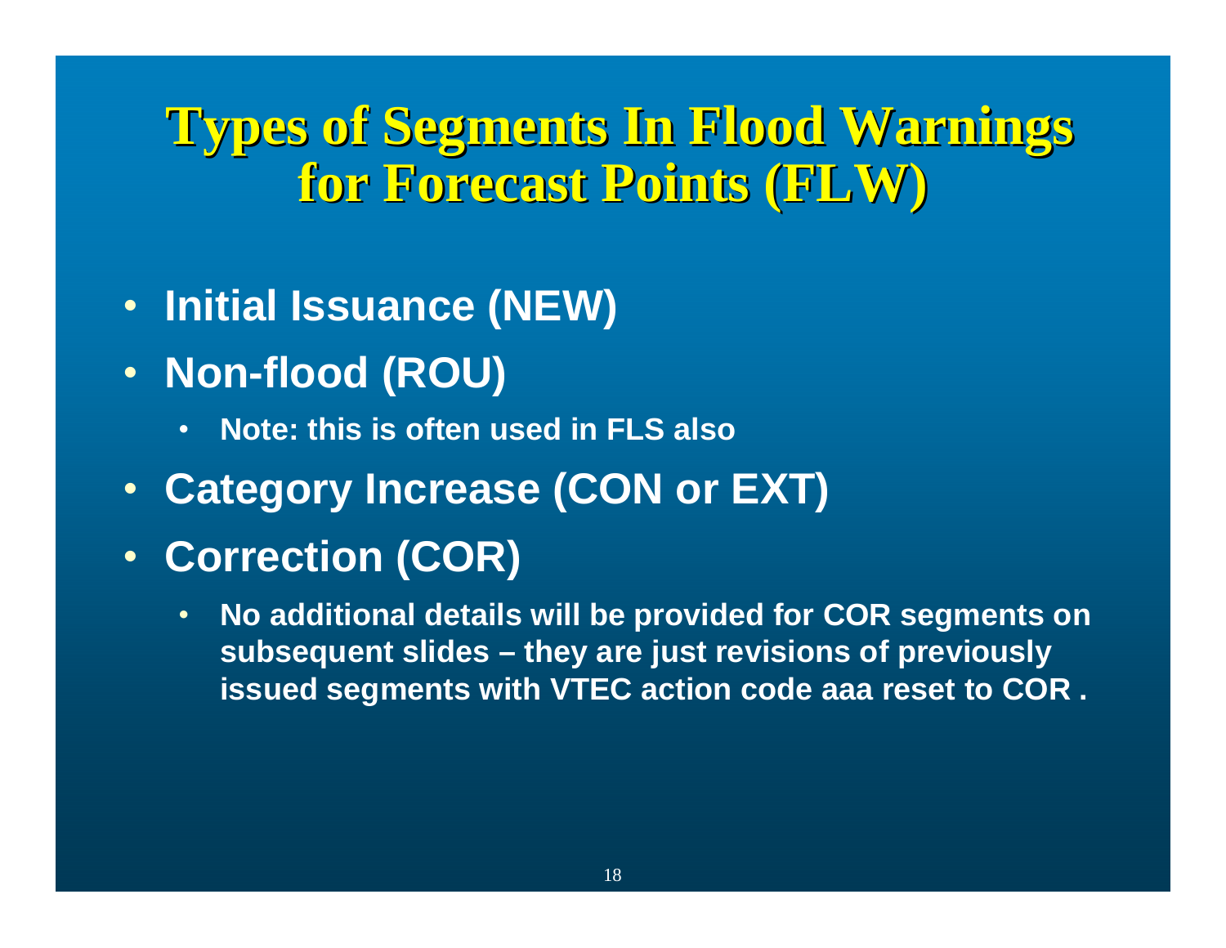## **Types of Segments In Flood Warnings Types of Segments In Flood Warnings for Forecast Points (FLW) for Forecast Points (FLW)**

- **Initial Issuance (NEW)**
- **Non-flood (ROU)**
	- •**Note: this is often used in FLS also**
- **Category Increase (CON or EXT)**
- **Correction (COR)**
	- • **No additional details will be provided for COR segments on subsequent slides – they are just revisions of previously issued segments with VTEC action code aaa reset to COR .**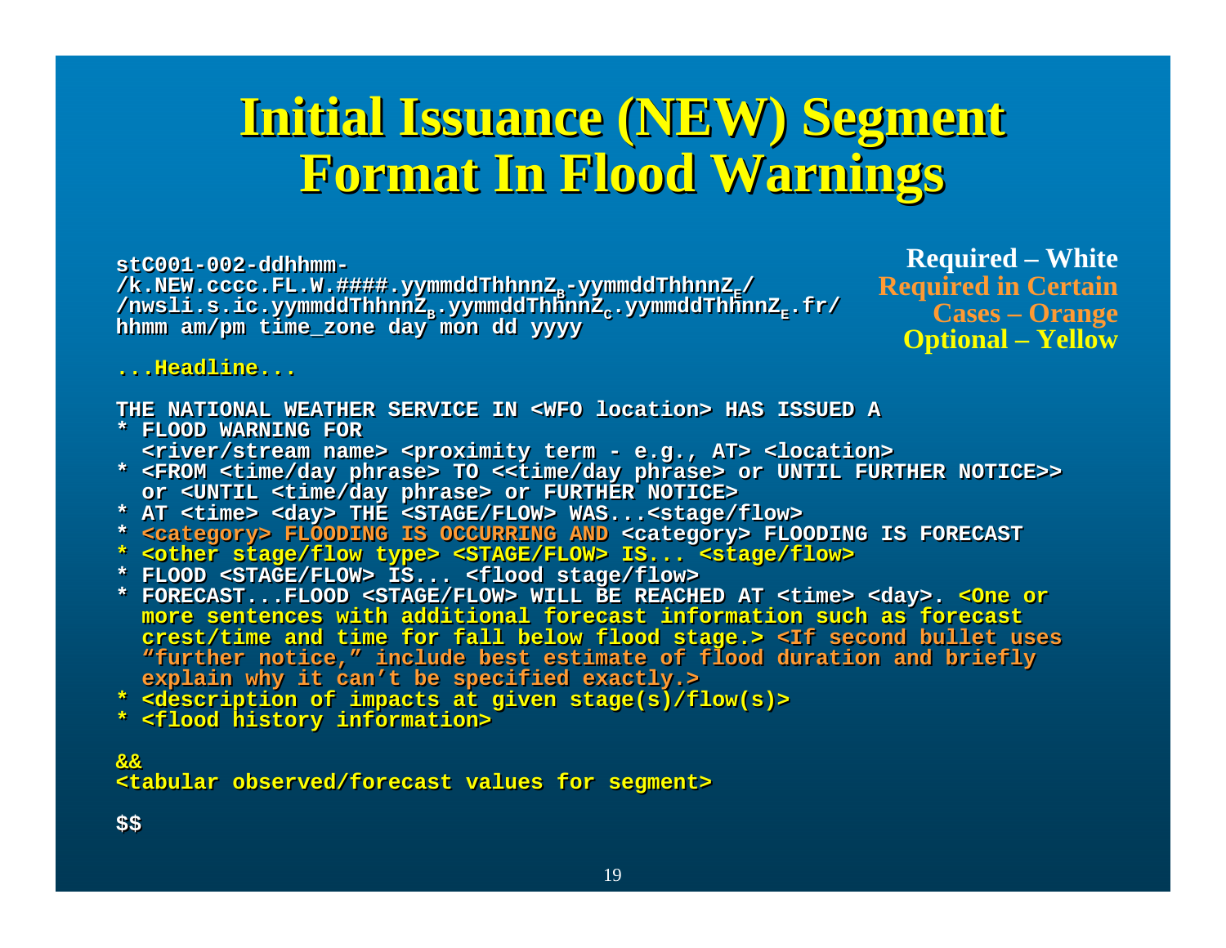## **Initial Issuance (NEW) Segment Initial Issuance (NEW) Segment Initial Issuance (NEW) Segment Format In Flood Warnings Format In Flood Warnings Format In Flood Warnings**

**stC001-002-ddhhmm-stC001-002-ddhhmm-**/k.NEW.cccc.FL.W.####.yymmddThhnnZ<sub>E</sub>-yymmddThhnnZ<sub>E</sub>/ **/nwsli.s.ic.yymmddThhnnZB.yymmddThhnnZC.yymmddThhnnZE.fr/ /nwsli.s.ic.yymmddThhnnZB.yymmddThhnnZC.yymmddThhnnZE.fr/ hhmm am/pm time\_zone day mon dd yyyy hhmm am/pm time\_zone day mon dd yyyy**

**Required – White Required in Certain Cases – Orange Optional – Yellow**

**...Headline......Headline...**

**THE NATIONAL WEATHER SERVICE IN <WFO location> HAS ISSUED ATHE NATIONAL WEATHER SERVICE IN <WFO location> HAS ISSUED A**

- **\* FLOOD WARNING FOR\* FLOOD WARNING FOR<river/stream name> <proximity term - e.g., AT> <location> <river/stream name> <proximity term - e.g., AT> <location>**
- **\* <FROM <time/day phrase> TO <<time/day phrase> or UNTIL FURTHER NOTICE>> \* <FROM <time/day phrase> TO <<time/day phrase> or UNTIL FURTHER NOTICE>> or <UNTIL <time/day phrase> or FURTHER NOTICE> or <UNTIL <time/day phrase> or FURTHER NOTICE>**
- **\* AT <time> <day> THE <STAGE/FLOW> WAS...<stage/flow> \* AT <time> <day> THE <STAGE/FLOW> WAS...<stage/flow>**
- **\* <category> FLOODING IS OCCURRING AND <category> FLOODING IS FORECAST \* <category> FLOODING IS OCCURRING AND <category> FLOODING IS FORECAST**
- **\* <other stage/flow type> <STAGE/FLOW> IS... <stage/flow> \* <other stage/flow type> <STAGE/FLOW> IS... <stage/flow>**
- **\* FLOOD <STAGE/FLOW> IS... <flood stage/flow> \* FLOOD <STAGE/FLOW> IS... <flood stage/flow>**
- **\* FORECAST...FLOOD <STAGE/FLOW> WILL BE REACHED AT <time> <day>. <One or \* FORECAST...FLOOD <STAGE/FLOW> WILL BE REACHED AT <time> <day>. <One or more sentences with additional forecast information such as forecastmore sentences with additional forecast information such as forecastcrest/time and time for fall below flood stage.> <If second bullet uses crest/time and time for fall below flood stage.> <If second bullet uses "further notice," include best estimate of flood duration and briefly "further notice," include best estimate of flood duration and briefly explain why it can't be specified exactly.> explain why it can't be specified exactly.>**
- **\* <description of impacts at given stage(s)/flow(s)> \* <description of impacts at given stage(s)/flow(s)>**
- **\* <flood history information> \* <flood history information>**

### **&&&&**

**<tabular observed/forecast values for segment> <tabular observed/forecast values for segment>**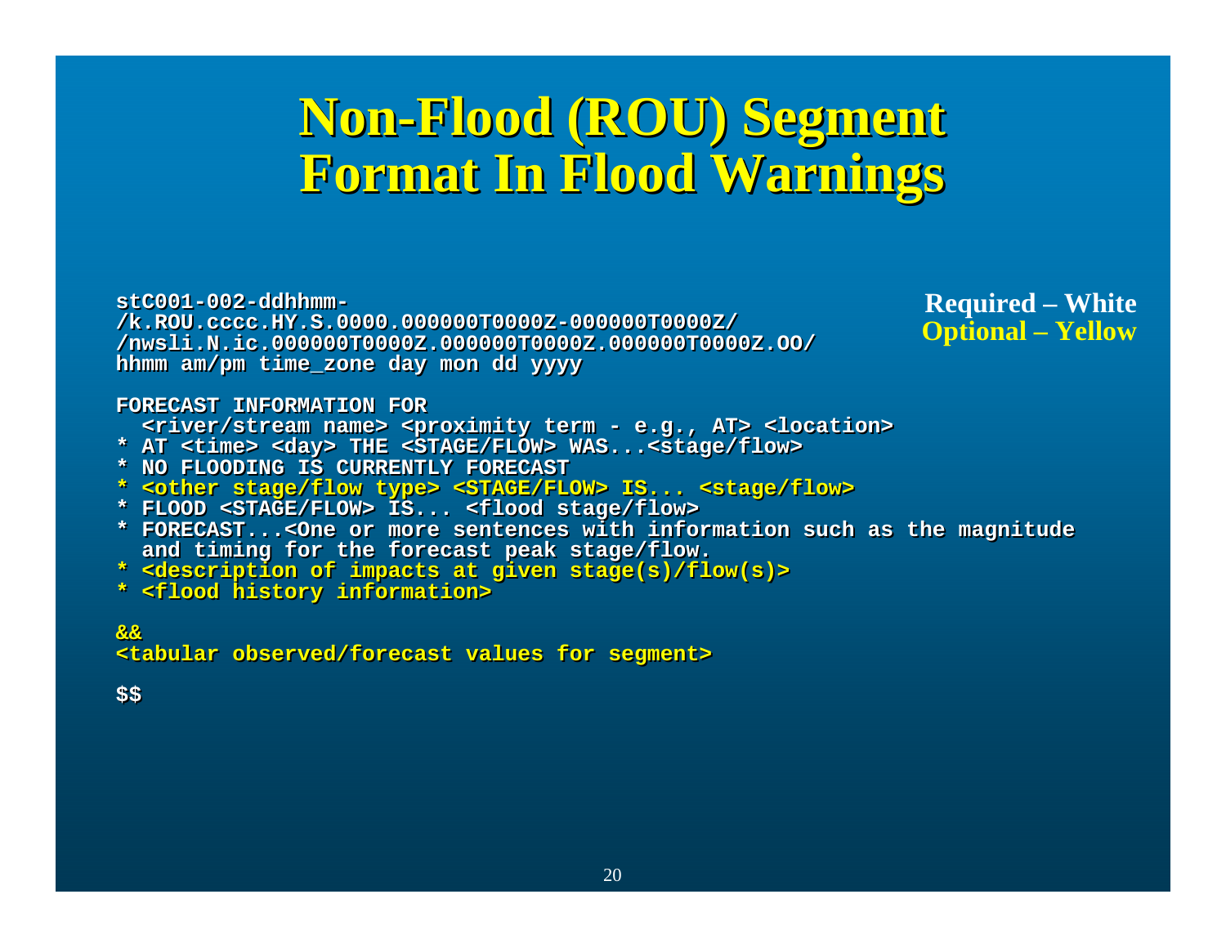## **Non-Flood (ROU) Segment Format In Flood Warnings Non-Flood (ROU) Segment Flood (ROU) Segment Format In Flood Warnings Format In Flood Warnings**

**stC001-002-ddhhmm-stC001-002-ddhhmm- /k.ROU.cccc.HY.S.0000.000000T0000Z-000000T0000Z/ /k.ROU.cccc.HY.S.0000.000000T0000Z-000000T0000Z/ /nwsli.N.ic.000000T0000Z.000000T0000Z.000000T0000Z.OO/ /nwsli.N.ic.000000T0000Z.000000T0000Z.000000T0000Z.OO/ hhmm am/pm time\_zone day mon dd yyyy hhmm am/pm time\_zone day mon dd yyyy**

**Required – White Optional – Yellow**

### **FORECAST INFORMATION FORFORECAST INFORMATION FOR**

- **<river/stream name> <proximity term - e.g., AT> <location> <river/stream name> <proximity term - e.g., AT> <location>**
- **\* AT <time> <day> THE <STAGE/FLOW> WAS...<stage/flow> \* AT <time> <day> THE <STAGE/FLOW> WAS...<stage/flow>**
- **\* NO FLOODING IS CURRENTLY FORECAST\* NO FLOODING IS CURRENTLY FORECAST**
- **\* <other stage/flow type> <STAGE/FLOW> IS... <stage/flow> \* <other stage/flow type> <STAGE/FLOW> IS... <stage/flow>**
- **\* FLOOD <STAGE/FLOW> IS... <flood stage/flow> \* FLOOD <STAGE/FLOW> IS... <flood stage/flow>**
- **\* FORECAST...<One or more sentences with information such as the magnitude \* FORECAST...<One or more sentences with information such as the magnitude and timing for the forecast peak stage/flow. and timing for the forecast peak stage/flow.**
- **\* <description of impacts at given stage(s)/flow(s)> \* <description of impacts at given stage(s)/flow(s)>**
- **\* <flood history information> \* <flood history information>**

**&&&&**

**<tabular observed/forecast values for segment> <tabular observed/forecast values for segment>**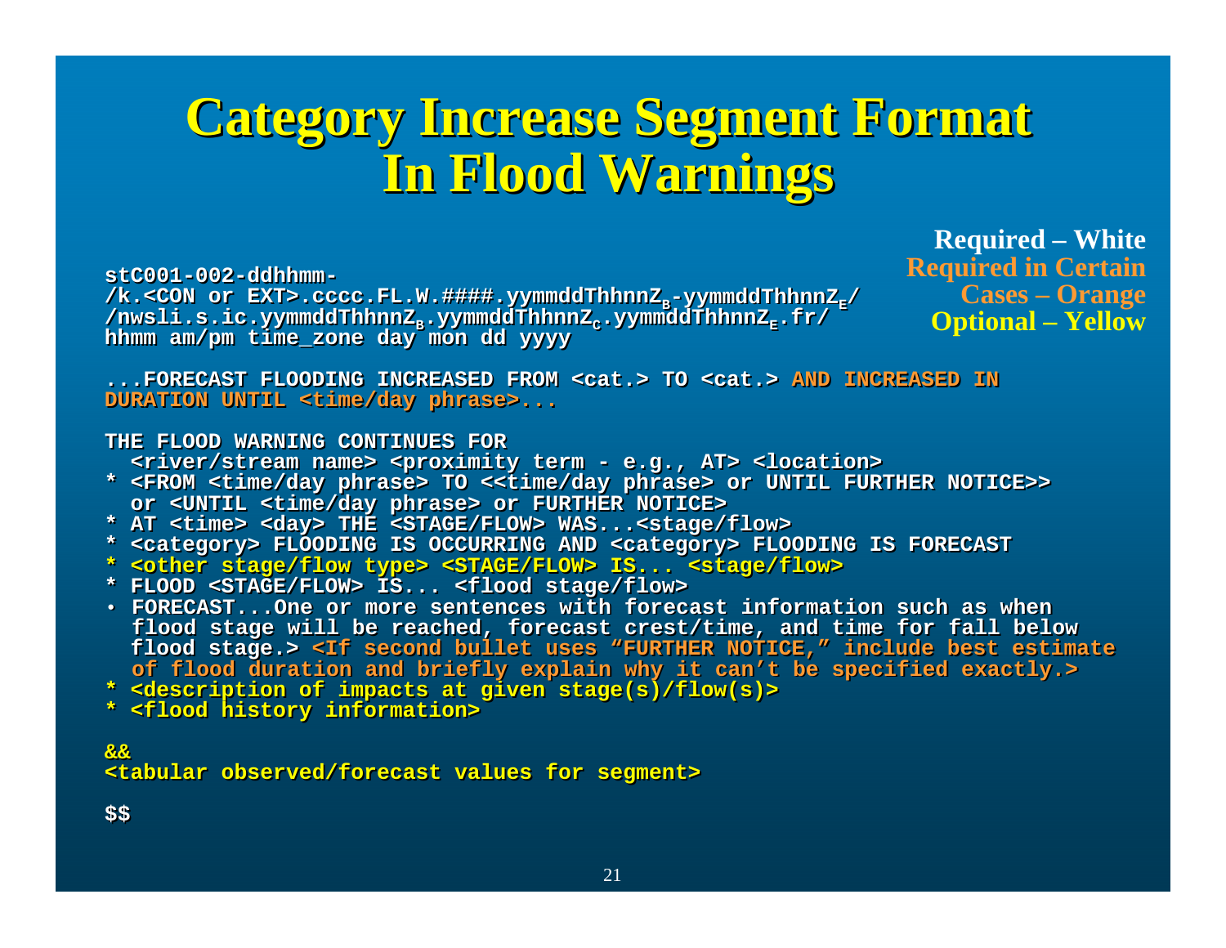## **Category Increase Segment Format Category Increase Segment Format Category Increase Segment Format In Flood Warnings Flood Warnings In Flood Warnings**

**stC001-002-ddhhmm-stC001-002-ddhhmm-**

/k.<CON or EXT>.cccc.FL.W.####.yymmddThhnnZ<sub>E</sub>-yymmddThhnnZ<sub>E</sub>/ /nwsli.s.ic.yymmddThhnnZ<sub>B</sub>.yymmddThhnnZ<sub>c</sub>.yymmddThhnnZ<sub>E</sub>.fr/ **hhmm am/pm time\_zone day mon dd yyyy** /nwsli.s.ic.yymmddThhnnZ<sub>s</sub>.yymmddThhnnZ<sub>c</sub>.yymmddThhnnZ<sub>E</sub>.fr/ **hhmm am/pm time\_zone day mon dd yyyy**

**Required – White Required in Certain Cases – Orange Optional – Yellow**

**...FORECAST FLOODING INCREASED FROM <cat.> TO <cat.> AND INCREASED IN...FORECAST FLOODING INCREASED FROM <cat.> TO <cat.> AND INCREASED INDURATION UNTIL <time/day phrase>... DURATION UNTIL <time/day phrase>...**

#### **THE FLOOD WARNING CONTINUES FORTHE FLOOD WARNING CONTINUES FOR**

**<river/stream name> <proximity term - e.g., AT> <location> <river/stream name> <proximity term - e.g., AT> <location>**

- **\* <FROM <time/day phrase> TO <<time/day phrase> or UNTIL FURTHER NOTICE>> \* <FROM <time/day phrase> TO <<time/day phrase> or UNTIL FURTHER NOTICE>> or <UNTIL <time/day phrase> or FURTHER NOTICE> or <UNTIL <time/day phrase> or FURTHER NOTICE>**
- **\* AT <time> <day> THE <STAGE/FLOW> WAS...<stage/flow> \* AT <time> <day> THE <STAGE/FLOW> WAS...<stage/flow>**
- **\* <category> FLOODING IS OCCURRING AND <category> FLOODING IS FORECAST \* <category> FLOODING IS OCCURRING AND <category> FLOODING IS FORECAST**
- **\* <other stage/flow type> <STAGE/FLOW> IS... <stage/flow> \* <other stage/flow type> <STAGE/FLOW> IS... <stage/flow>**
- **\* FLOOD <STAGE/FLOW> IS... <flood stage/flow> \* FLOOD <STAGE/FLOW> IS... <flood stage/flow>**
- **FORECAST...One or more sentences with forecast information such as when FORECAST...One or more sentences with forecast information such as when flood stage will be reached, forecast crest/time, and time for fall below flood stage will be reached, forecast crest/time, and time for fall below flood stage.> <If second bullet uses "FURTHER NOTICE," include best estimate flood stage.> <If second bullet uses "FURTHER NOTICE," include best estimate of flood duration and briefly explain why it can't be specified exactly.> of flood duration and briefly explain why it can't be specified exactly.>**
- **\* <description of impacts at given stage(s)/flow(s)> \* <description of impacts at given stage(s)/flow(s)>**
- **\* <flood history information> \* <flood history information>**

**&&&&<tabular observed/forecast values for segment> <tabular observed/forecast values for segment>**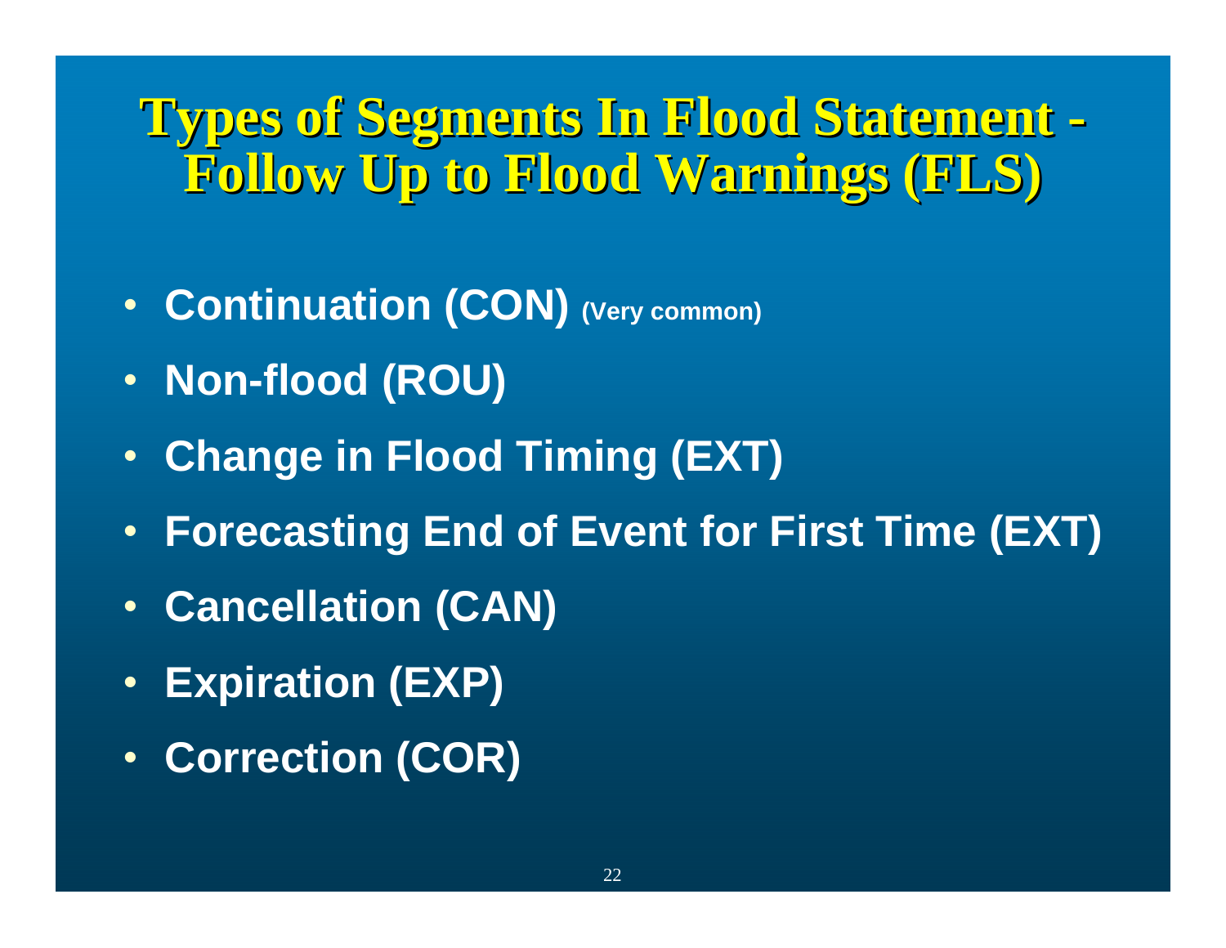## **Types of Segments In Flood Statement -**Follow Up to Flood Warnings (FLS)

- **Continuation (CON) (Very common)**
- **Non-flood (ROU)**
- **Change in Flood Timing (EXT)**
- **Forecasting End of Event for First Time (EXT)**
- **Cancellation (CAN)**
- **Expiration (EXP)**
- **Correction (COR)**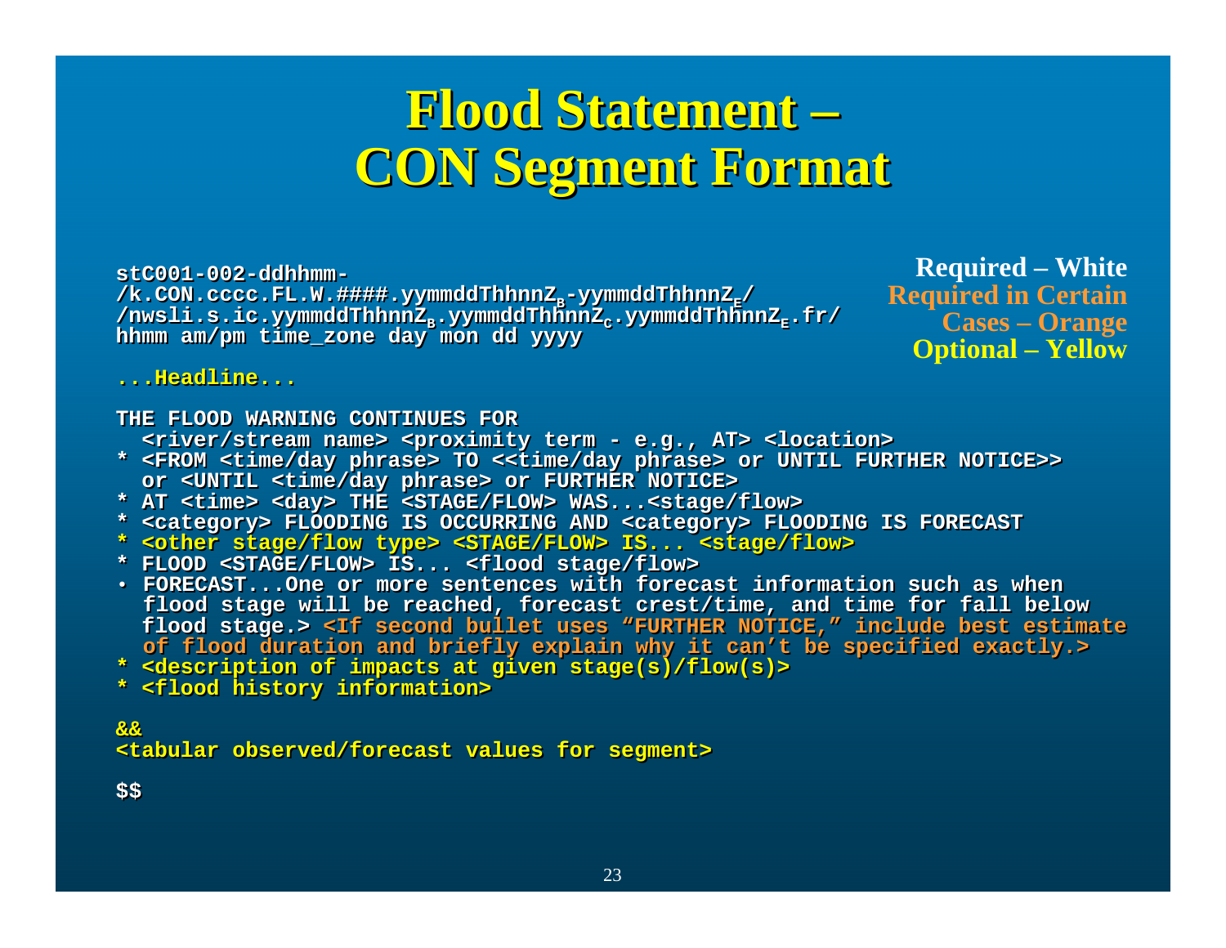## **Flood Statement – Flood Statement Flood Statement – CON Segment Format CON Segment Format CON Segment Format**

**stC001-002-ddhhmm-stC001-002-ddhhmm-**/**k.CON.cccc.FL.W.####.yymmddThhnnZ<sub>E</sub>-yymmddThhnnZ<sub>E</sub>/ /nwsli.s.ic.yymmddThhnnZB.yymmddThhnnZC.yymmddThhnnZE.fr/ /nwsli.s.ic.yymmddThhnnZB.yymmddThhnnZC.yymmddThhnnZE.fr/ hhmm am/pm time\_zone day mon dd yyyy hhmm am/pm time\_zone day mon dd yyyy**

**Required – White Required in Certain Cases – Orange Optional – Yellow**

**...Headline......Headline...**

**THE FLOOD WARNING CONTINUES FORTHE FLOOD WARNING CONTINUES FOR**

**<river/stream name> <proximity term - e.g., AT> <location> <river/stream name> <proximity term - e.g., AT> <location>**

- **\* <FROM <time/day phrase> TO <<time/day phrase> or UNTIL FURTHER NOTICE>> \* <FROM <time/day phrase> TO <<time/day phrase> or UNTIL FURTHER NOTICE>> or <UNTIL <time/day phrase> or FURTHER NOTICE> or <UNTIL <time/day phrase> or FURTHER NOTICE>**
- **\* AT <time> <day> THE <STAGE/FLOW> WAS...<stage/flow> \* AT <time> <day> THE <STAGE/FLOW> WAS...<stage/flow>**
- **\* <category> FLOODING IS OCCURRING AND <category> FLOODING IS FORECAST \* <category> FLOODING IS OCCURRING AND <category> FLOODING IS FORECAST**
- **\* <other stage/flow type> <STAGE/FLOW> IS... <stage/flow> \* <other stage/flow type> <STAGE/FLOW> IS... <stage/flow>**
- **\* FLOOD <STAGE/FLOW> IS... <flood stage/flow> \* FLOOD <STAGE/FLOW> IS... <flood stage/flow>**
- **FORECAST...One or more sentences with forecast information such as when FORECAST...One or more sentences with forecast information such as when flood stage will be reached, forecast crest/time, and time for fall below flood stage will be reached, forecast crest/time, and time for fall below flood stage.> <If second bullet uses "FURTHER NOTICE," include best estimate flood stage.> <If second bullet uses "FURTHER NOTICE," include best estimate of flood duration and briefly explain why it can't be specified exactly.> of flood duration and briefly explain why it can't be specified exactly.>**
- **\* <description of impacts at given stage(s)/flow(s)> \* <description of impacts at given stage(s)/flow(s)>**
- **\* <flood history information> \* <flood history information>**

**&&&&<tabular observed/forecast values for segment> <tabular observed/forecast values for segment>**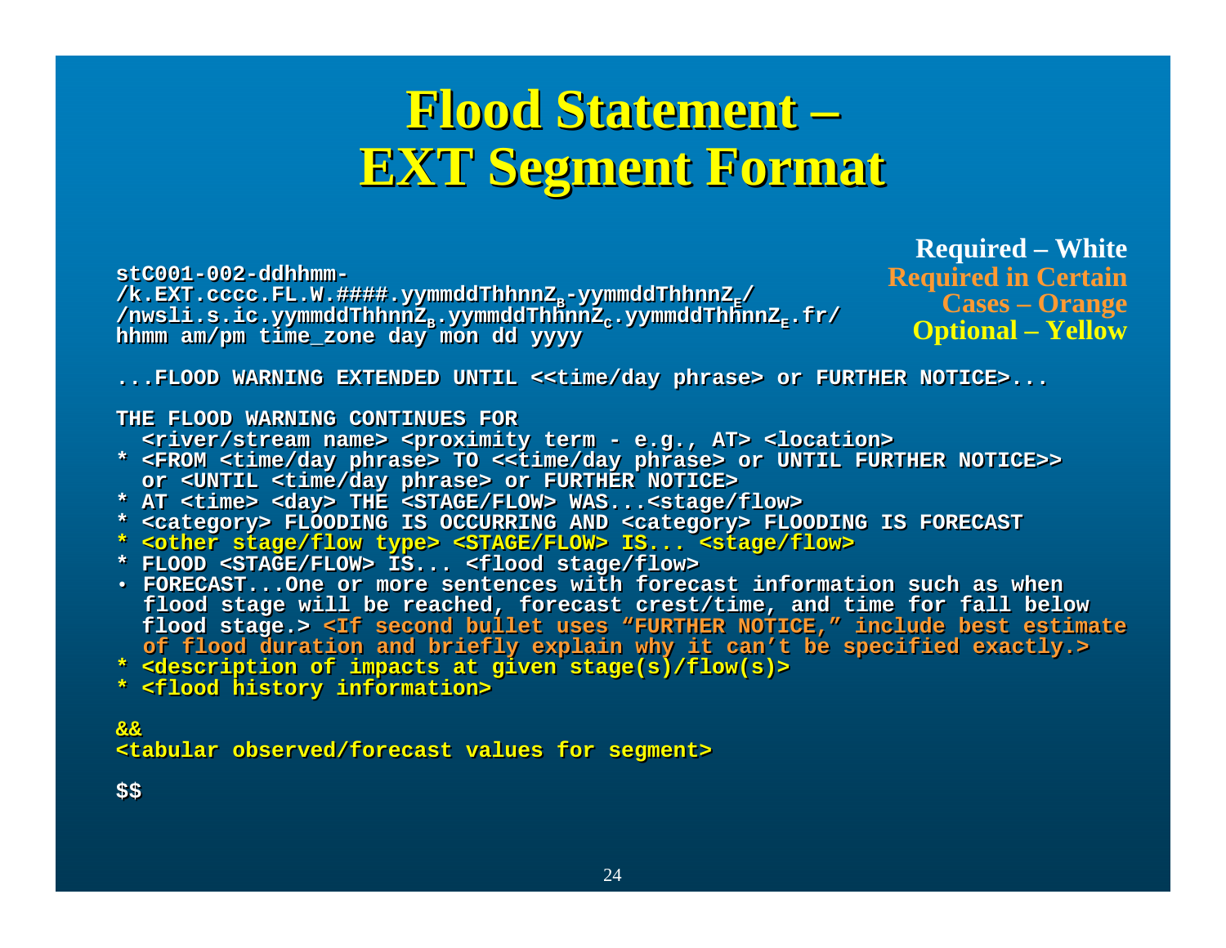## **Flood Statement – Flood Statement Flood Statement – EXT Segment Format EXT Segment Format EXT Segment Format**

**stC001-002-ddhhmm-stC001-002-ddhhmm-**/**k.EXT.cccc.FL.W.####.yymmddThhnnZ<sub>E</sub>-yymmddThhnnZ<sub>E</sub>/ /nwsli.s.ic.yymmddThhnnZB.yymmddThhnnZC.yymmddThhnnZE.fr/ hhmm am/pm time\_zone day mon dd yyyy** /nwsli.s.ic.yymmddThhnnZ<sub>s</sub>.yymmddThhnnZ<sub>c</sub>.yymmddThhnnZ<sub>E</sub>.fr/ **hhmm am/pm time\_zone day mon dd yyyy**

**Required – White Required in Certain Cases – Orange Optional – Yellow**

**...FLOOD WARNING EXTENDED UNTIL <<time/day phrase> or FURTHER NOTICE>... ...FLOOD WARNING EXTENDED UNTIL <<time/day phrase> or FURTHER NOTICE>...**

### **THE FLOOD WARNING CONTINUES FORTHE FLOOD WARNING CONTINUES FOR**

**<river/stream name> <proximity term - e.g., AT> <location> <river/stream name> <proximity term - e.g., AT> <location>**

- **\* <FROM <time/day phrase> TO <<time/day phrase> or UNTIL FURTHER NOTICE>> \* <FROM <time/day phrase> TO <<time/day phrase> or UNTIL FURTHER NOTICE>> or <UNTIL <time/day phrase> or FURTHER NOTICE> or <UNTIL <time/day phrase> or FURTHER NOTICE>**
- **\* AT <time> <day> THE <STAGE/FLOW> WAS...<stage/flow> \* AT <time> <day> THE <STAGE/FLOW> WAS...<stage/flow>**
- **\* <category> FLOODING IS OCCURRING AND <category> FLOODING IS FORECAST \* <category> FLOODING IS OCCURRING AND <category> FLOODING IS FORECAST**
- **\* <other stage/flow type> <STAGE/FLOW> IS... <stage/flow> \* <other stage/flow type> <STAGE/FLOW> IS... <stage/flow>**
- **\* FLOOD <STAGE/FLOW> IS... <flood stage/flow> \* FLOOD <STAGE/FLOW> IS... <flood stage/flow>**
- **FORECAST...One or more sentences with forecast information such as when FORECAST...One or more sentences with forecast information such as when flood stage will be reached, forecast crest/time, and time for fall below flood stage will be reached, forecast crest/time, and time for fall below flood stage.> <If second bullet uses "FURTHER NOTICE," include best estimate flood stage.> <If second bullet uses "FURTHER NOTICE," include best estimate of flood duration and briefly explain why it can't be specified exactly.> of flood duration and briefly explain why it can't be specified exactly.>**
- **\* <description of impacts at given stage(s)/flow(s)> \* <description of impacts at given stage(s)/flow(s)>**
- **\* <flood history information> \* <flood history information>**

**&&&&<tabular observed/forecast values for segment> <tabular observed/forecast values for segment>**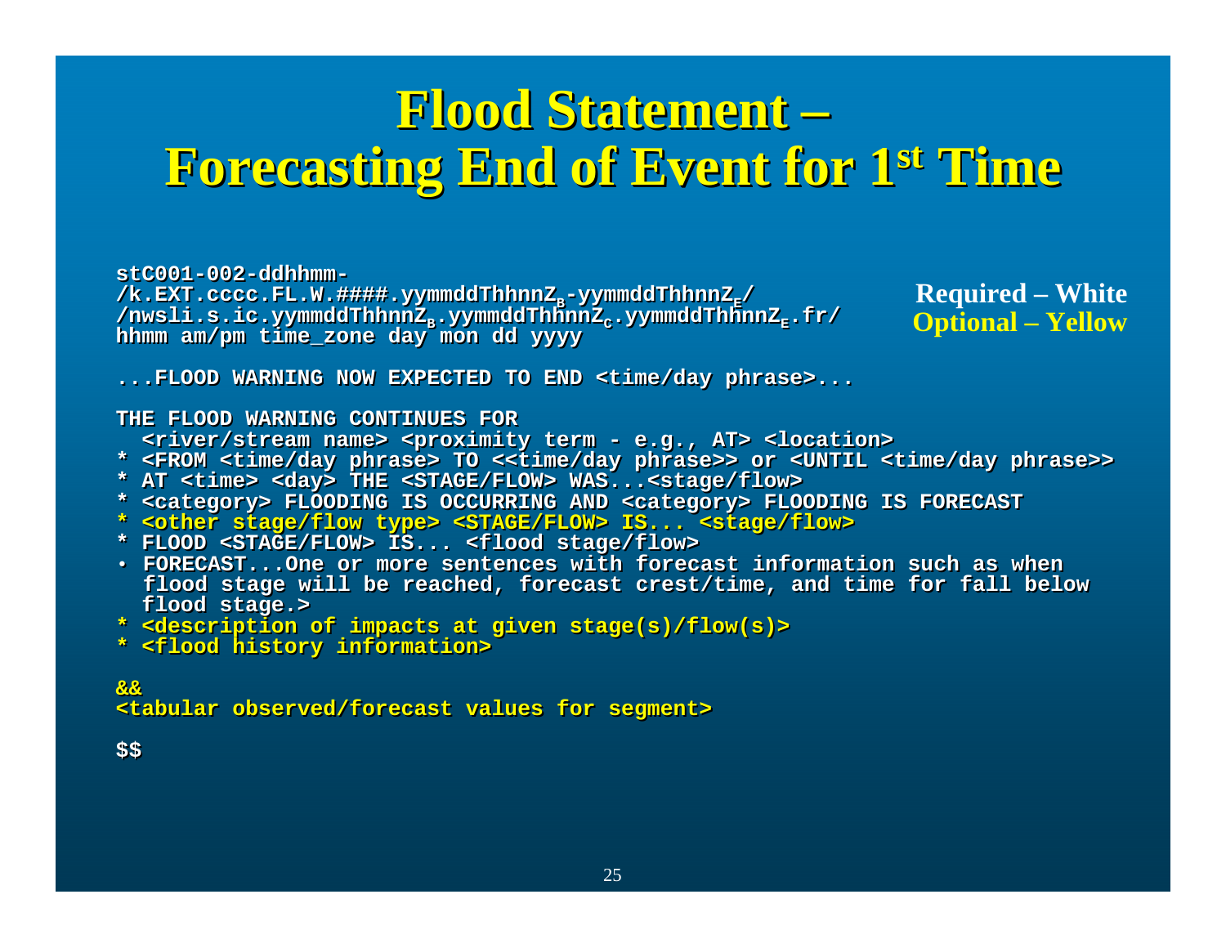## **Flood Statement – Flood Statement Flood Statement – Forecasting End of Event for 1st Time Forecasting End of Event for 1 Forecasting End of Event for 1st Time**

**stC001-002-ddhhmm-stC001-002-ddhhmm-**

/k.EXT.cccc.FL.W.####.yymmddThhnnZ<sub>E</sub>-yymmddThhnnZ<sub>E</sub>/ **/nwsli.s.ic.yymmddThhnnZB.yymmddThhnnZC.yymmddThhnnZE.fr/ /nwsli.s.ic.yymmddThhnnZB.yymmddThhnnZC.yymmddThhnnZE.fr/ hhmm am/pm time\_zone day mon dd yyyy hhmm am/pm time\_zone day mon dd yyyy**

**Required – White Optional – Yellow**

**...FLOOD WARNING NOW EXPECTED TO END <time/day phrase>... ...FLOOD WARNING NOW EXPECTED TO END <time/day phrase>...**

### **THE FLOOD WARNING CONTINUES FORTHE FLOOD WARNING CONTINUES FOR**

**<river/stream name> <proximity term - e.g., AT> <location> <river/stream name> <proximity term - e.g., AT> <location>**

- **\* <FROM <time/day phrase> TO <<time/day phrase>> or <UNTIL <time/day phrase>> \* <FROM <time/day phrase> TO <<time/day phrase>> or <UNTIL <time/day phrase>>**
- **\* AT <time> <day> THE <STAGE/FLOW> WAS...<stage/flow> \* AT <time> <day> THE <STAGE/FLOW> WAS...<stage/flow>**
- **\* <category> FLOODING IS OCCURRING AND <category> FLOODING IS FORECAST \* <category> FLOODING IS OCCURRING AND <category> FLOODING IS FORECAST**
- **\* <other stage/flow type> <STAGE/FLOW> IS... <stage/flow> \* <other stage/flow type> <STAGE/FLOW> IS... <stage/flow>**
- **\* FLOOD <STAGE/FLOW> IS... <flood stage/flow> \* FLOOD <STAGE/FLOW> IS... <flood stage/flow>**
- **FORECAST...One or more sentences with forecast information such as when FORECAST...One or more sentences with forecast information such as when flood stage will be reached, forecast crest/time, and time for fall below flood stage will be reached, forecast crest/time, and time for fall below flood stage.> flood stage.>**
- **\* <description of impacts at given stage(s)/flow(s)> \* <description of impacts at given stage(s)/flow(s)>**
- **\* <flood history information> \* <flood history information>**

**&&&&<tabular observed/forecast values for segment> <tabular observed/forecast values for segment>**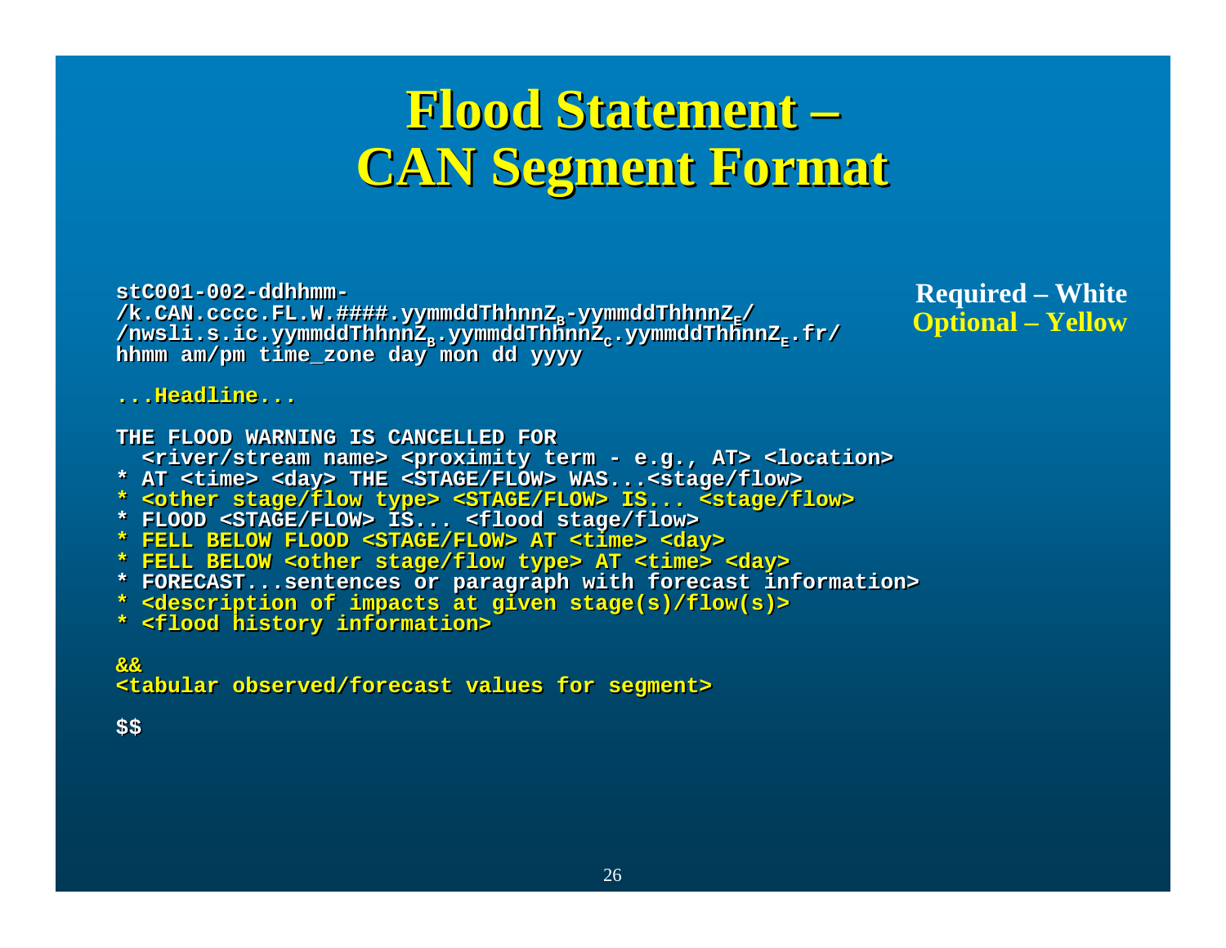## **Flood Statement – Flood Statement Flood Statement – CAN Segment Format CAN Segment Format CAN Segment Format**

**stC001-002-ddhhmm-stC001-002-ddhhmm-**/**k.CAN.cccc.FL.W.####.yymmddThhnnZ<sub>E</sub>-yymmddThhnnZ<sub>E</sub>/ /nwsli.s.ic.yymmddThhnnZB.yymmddThhnnZC.yymmddThhnnZE.fr/ /nwsli.s.ic.yymmddThhnnZB.yymmddThhnnZC.yymmddThhnnZE.fr/ hhmm am/pm time\_zone day mon dd yyyy hhmm am/pm time\_zone day mon dd yyyy**

**Required – White Optional – Yellow**

**...Headline......Headline...**

**THE FLOOD WARNING IS CANCELLED FORTHE FLOOD WARNING IS CANCELLED FOR<river/stream name> <proximity term - e.g., AT> <location> <river/stream name> <proximity term - e.g., AT> <location> \* AT <time> <day> THE <STAGE/FLOW> WAS...<stage/flow> \* AT <time> <day> THE <STAGE/FLOW> WAS...<stage/flow> \* <other stage/flow type> <STAGE/FLOW> IS... <stage/flow> \* <other stage/flow type> <STAGE/FLOW> IS... <stage/flow>**

**\* FLOOD <STAGE/FLOW> IS... <flood stage/flow> \* FLOOD <STAGE/FLOW> IS... <flood stage/flow>**

**\* FELL BELOW FLOOD <STAGE/FLOW> AT <time> <day> \* FELL BELOW FLOOD <STAGE/FLOW> AT <time> <day>**

**\* FELL BELOW <other stage/flow type> AT <time> <day> \* FELL BELOW <other stage/flow type> AT <time> <day>**

**\* FORECAST...sentences or paragraph with forecast information> \* FORECAST...sentences or paragraph with forecast information>** 

**\* <description of impacts at given stage(s)/flow(s)> \* <description of impacts at given stage(s)/flow(s)>**

**\* <flood history information> \* <flood history information>**

**&&&&<tabular observed/forecast values for segment> <tabular observed/forecast values for segment>**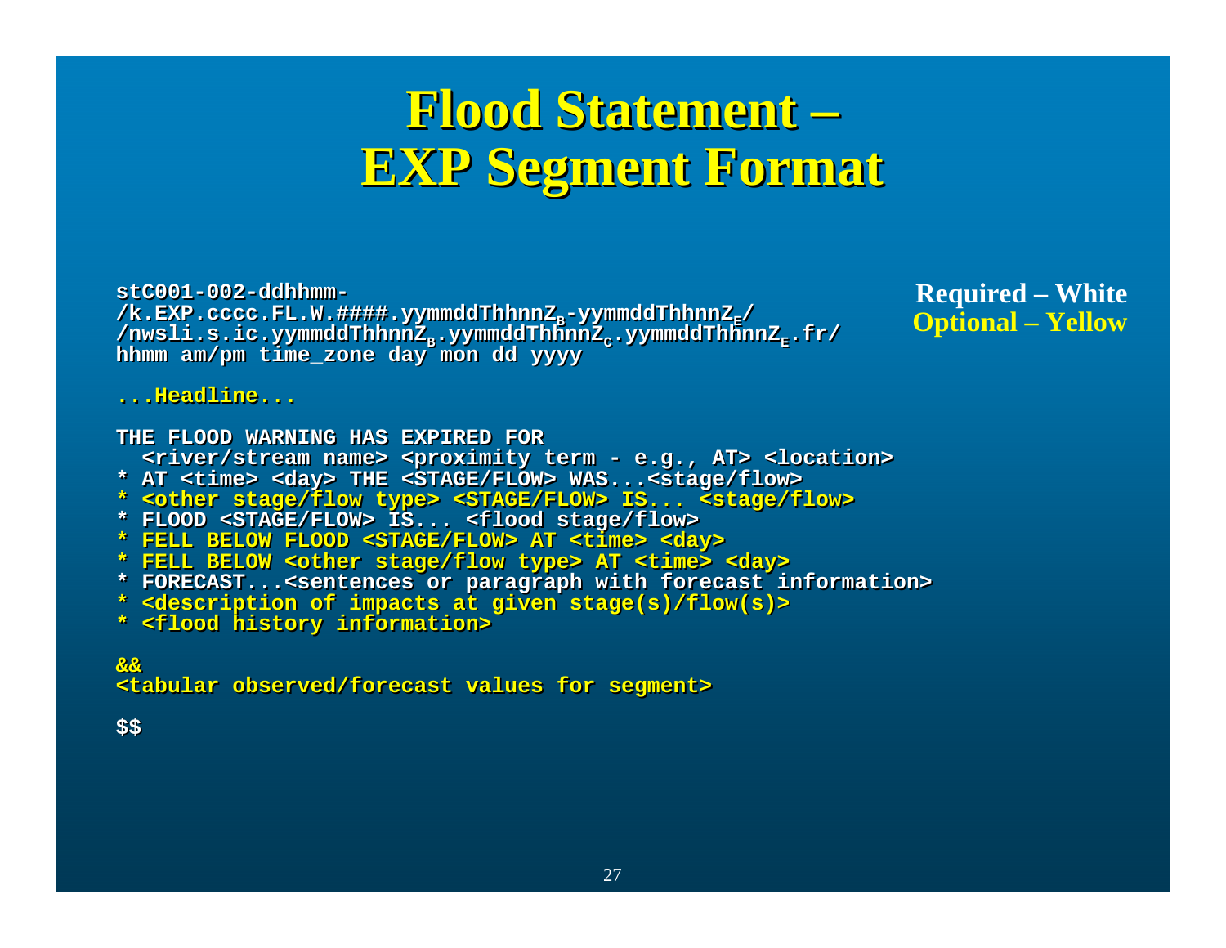## **Flood Statement – Flood Statement Flood Statement – EXP Segment Format EXP Segment Format EXP Segment Format**

**stC001-002-ddhhmm-stC001-002-ddhhmm-**/k.EXP.cccc.FL.W.####.yymmddThhnnZ<sub>E</sub>-yymmddThhnnZ<sub>E</sub>/ **/nwsli.s.ic.yymmddThhnnZB.yymmddThhnnZC.yymmddThhnnZE.fr/ /nwsli.s.ic.yymmddThhnnZB.yymmddThhnnZC.yymmddThhnnZE.fr/ hhmm am/pm time\_zone day mon dd yyyy hhmm am/pm time\_zone day mon dd yyyy**

**Required – White Optional – Yellow**

**...Headline......Headline...**

**THE FLOOD WARNING HAS EXPIRED FORTHE FLOOD WARNING HAS EXPIRED FOR<river/stream name> <proximity term - e.g., AT> <location> <river/stream name> <proximity term - e.g., AT> <location> \* AT <time> <day> THE <STAGE/FLOW> WAS...<stage/flow> \* AT <time> <day> THE <STAGE/FLOW> WAS...<stage/flow> \* <other stage/flow type> <STAGE/FLOW> IS... <stage/flow> \* <other stage/flow type> <STAGE/FLOW> IS... <stage/flow>**

- **\* FLOOD <STAGE/FLOW> IS... <flood stage/flow> \* FLOOD <STAGE/FLOW> IS... <flood stage/flow>**
- **\* FELL BELOW FLOOD <STAGE/FLOW> AT <time> <day> \* FELL BELOW FLOOD <STAGE/FLOW> AT <time> <day>**
- **\* FELL BELOW <other stage/flow type> AT <time> <day> \* FELL BELOW <other stage/flow type> AT <time> <day>**
- **\* FORECAST...<sentences or paragraph with forecast information> \* FORECAST...<sentences or paragraph with forecast information>**
- **\* <description of impacts at given stage(s)/flow(s)> \* <description of impacts at given stage(s)/flow(s)>**
- **\* <flood history information> \* <flood history information>**

**&&&&<tabular observed/forecast values for segment> <tabular observed/forecast values for segment>**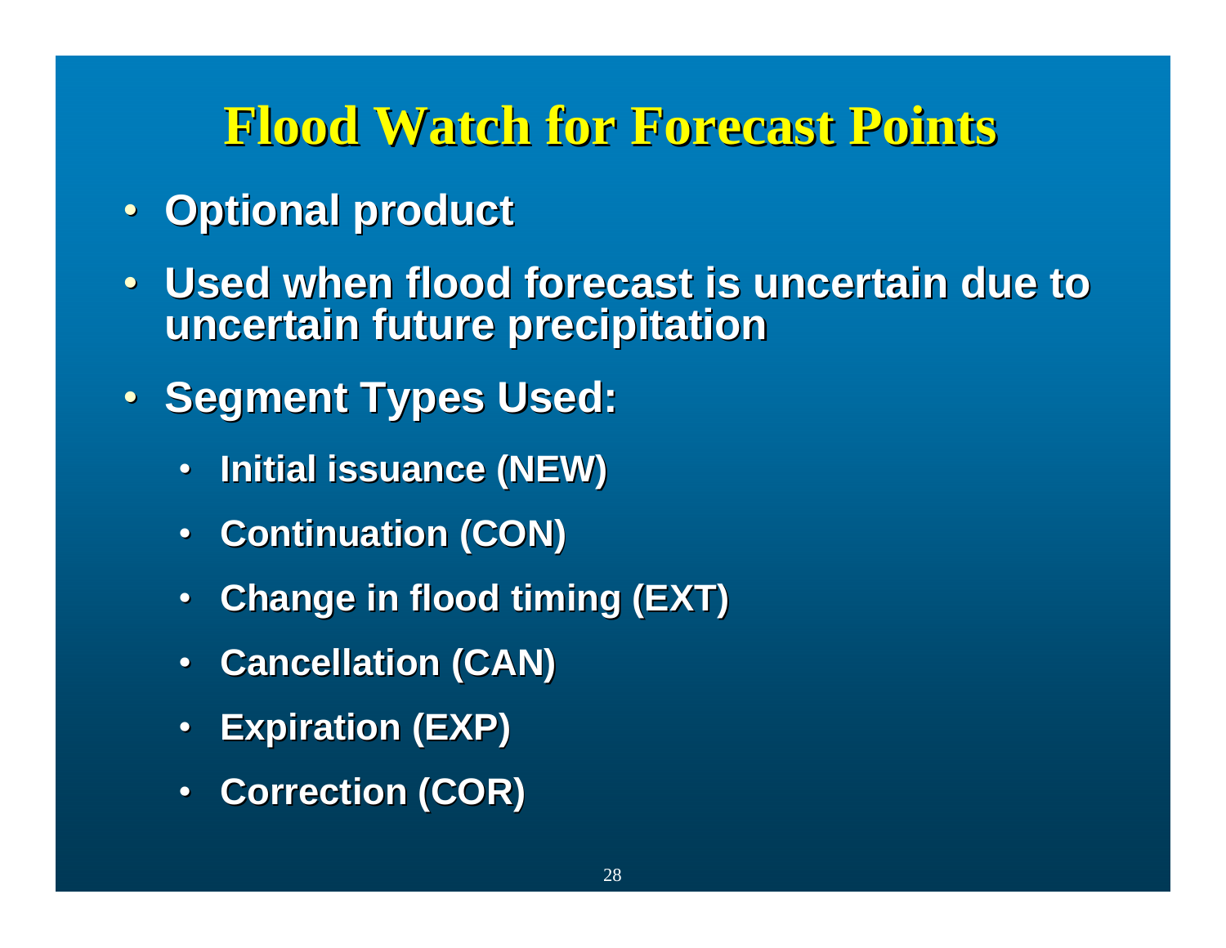## **Flood Watch for Forecast Points Flood Watch for Forecast Points**

- **Optional product**
- $\bullet$ **Used when flood forecast is uncertain due to uncertain future precipitation uncertain future precipitation**
- **Segment Types Used:** 
	- $\bullet$ **Initial issuance (NEW) Initial issuance (NEW)**
	- **Continuation (CON)**
	- **Change in flood timing (EXT)**
	- $\bullet$ **Cancellation (CAN) Cancellation (CAN)**
	- $\bullet$ **Expiration (EXP) Expiration (EXP)**
	- •**Correction (COR) Correction (COR)**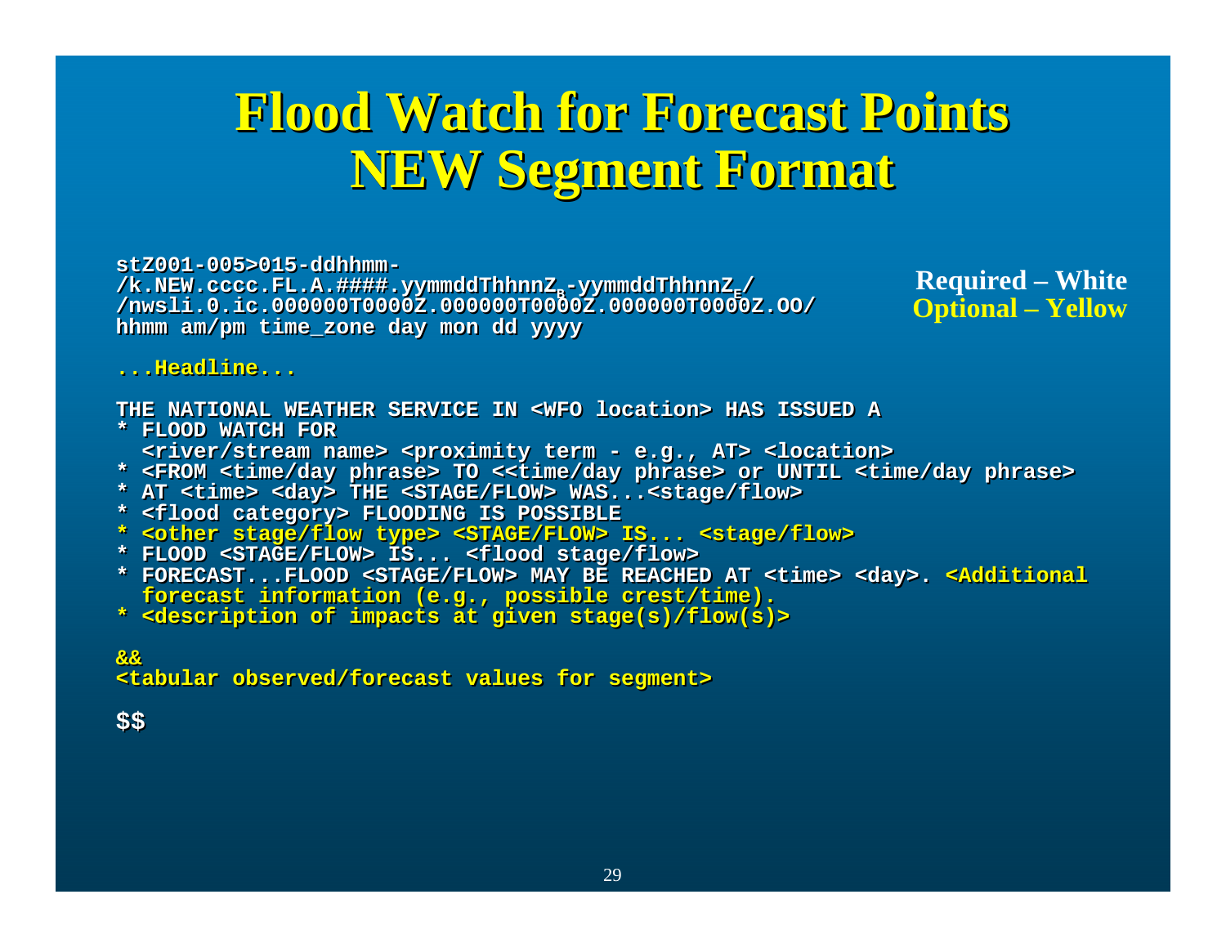## **Flood Watch for Forecast Points NEW Segment Format Flood Watch for Forecast Points Flood Watch for Forecast NEW Segment Format NEW Segment**

**stZ001-005>015-ddhhmm-stZ001-005>015-ddhhmm-**/**k.NEW.cccc.FL.A.####.yymmddThhnnZ<sub>E</sub>-yymmddThhnnZ<sub>E</sub>/ /nwsli.0.ic.000000T0000Z.000000T0000Z.000000T0000Z.OO/ /nwsli.0.ic.000000T0000Z.000000T0000Z.000000T0000Z.OO/ hhmm am/pm time\_zone day mon dd yyyy hhmm am/pm time\_zone day mon dd yyyy**

**Required – White Optional – Yellow**

**...Headline......Headline...**

**THE NATIONAL WEATHER SERVICE IN <WFO location> HAS ISSUED ATHE NATIONAL WEATHER SERVICE IN <WFO location> HAS ISSUED A**

- **\* FLOOD WATCH FOR\* FLOOD WATCH FOR<river/stream name> <proximity term - e.g., AT> <location> <river/stream name> <proximity term - e.g., AT> <location>**
- **\* <FROM <time/day phrase> TO <<time/day phrase> or UNTIL <time/day phrase> \* <FROM <time/day phrase> TO <<time/day phrase> or UNTIL <time/day phrase>**
- **\* AT <time> <day> THE <STAGE/FLOW> WAS...<stage/flow> \* AT <time> <day> THE <STAGE/FLOW> WAS...<stage/flow>**
- **\* <flood category> FLOODING IS POSSIBLE \* <flood category> FLOODING IS POSSIBLE**
- **\* <other stage/flow type> <STAGE/FLOW> IS... <stage/flow> \* <other stage/flow type> <STAGE/FLOW> IS... <stage/flow>**
- **\* FLOOD <STAGE/FLOW> IS... <flood stage/flow> \* FLOOD <STAGE/FLOW> IS... <flood stage/flow>**
- **\* FORECAST...FLOOD <STAGE/FLOW> MAY BE REACHED AT <time> <day>. <Additional \* FORECAST...FLOOD <STAGE/FLOW> MAY BE REACHED AT <time> <day>. <Additional forecast information (e.g., possible crest/time). forecast information (e.g., possible crest/time).**
- **\* <description of impacts at given stage(s)/flow(s)> \* <description of impacts at given stage(s)/flow(s)>**

**&&&&**

**<tabular observed/forecast values for segment> <tabular observed/forecast values for segment>**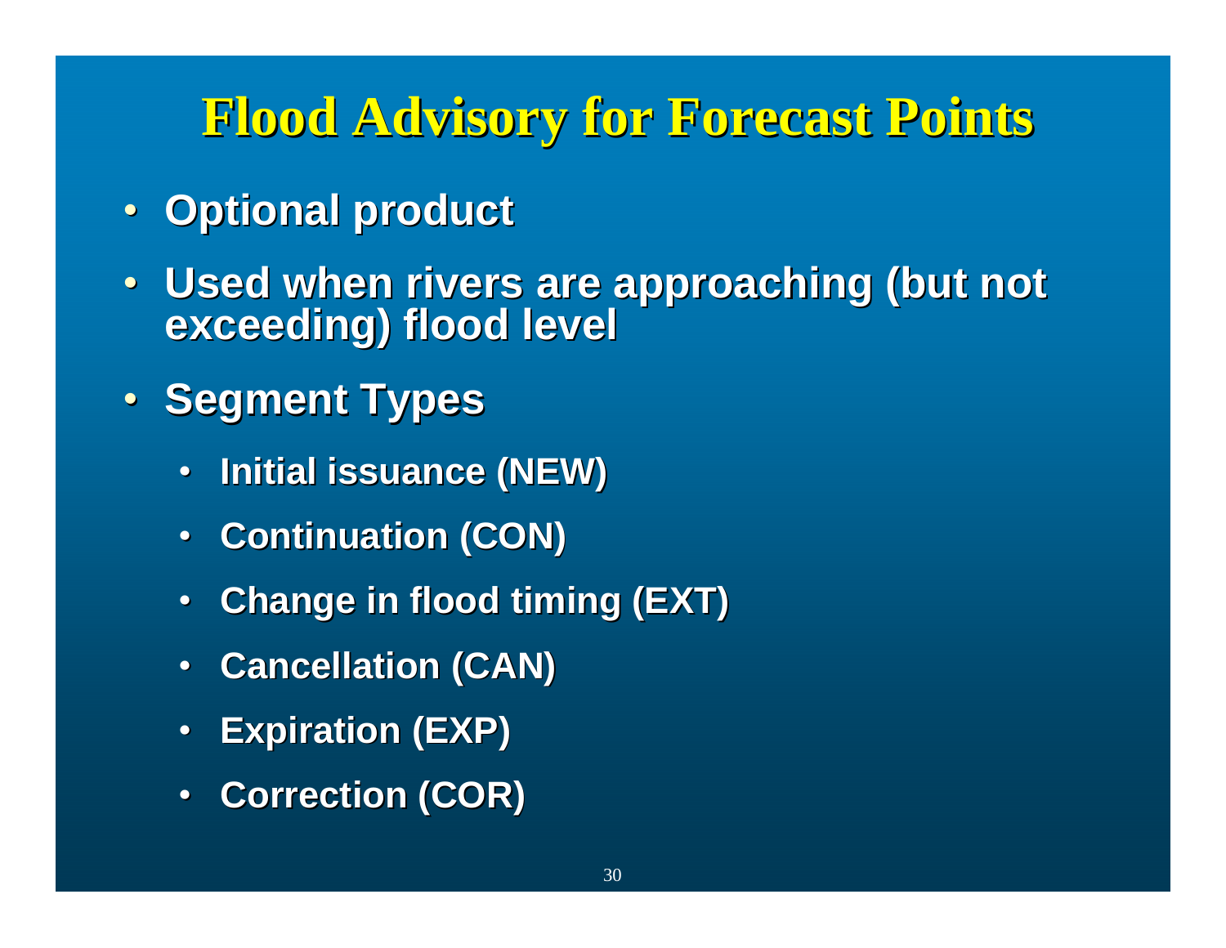## **Flood Advisory for Forecast Points Flood Advisory for Forecast Points**

- **Optional product**
- Used when rivers are approaching (but not exceeding) flood level
- **Segment Types** 
	- $\bullet$ **Initial issuance (NEW) Initial issuance (NEW)**
	- **Continuation (CON)**
	- $\bullet$ **Change in flood timing (EXT) Change in flood timing (EXT)**
	- **Cancellation (CAN) Cancellation (CAN)**
	- $\bullet$ **Expiration (EXP) Expiration (EXP)**
	- •**Correction (COR) Correction (COR)**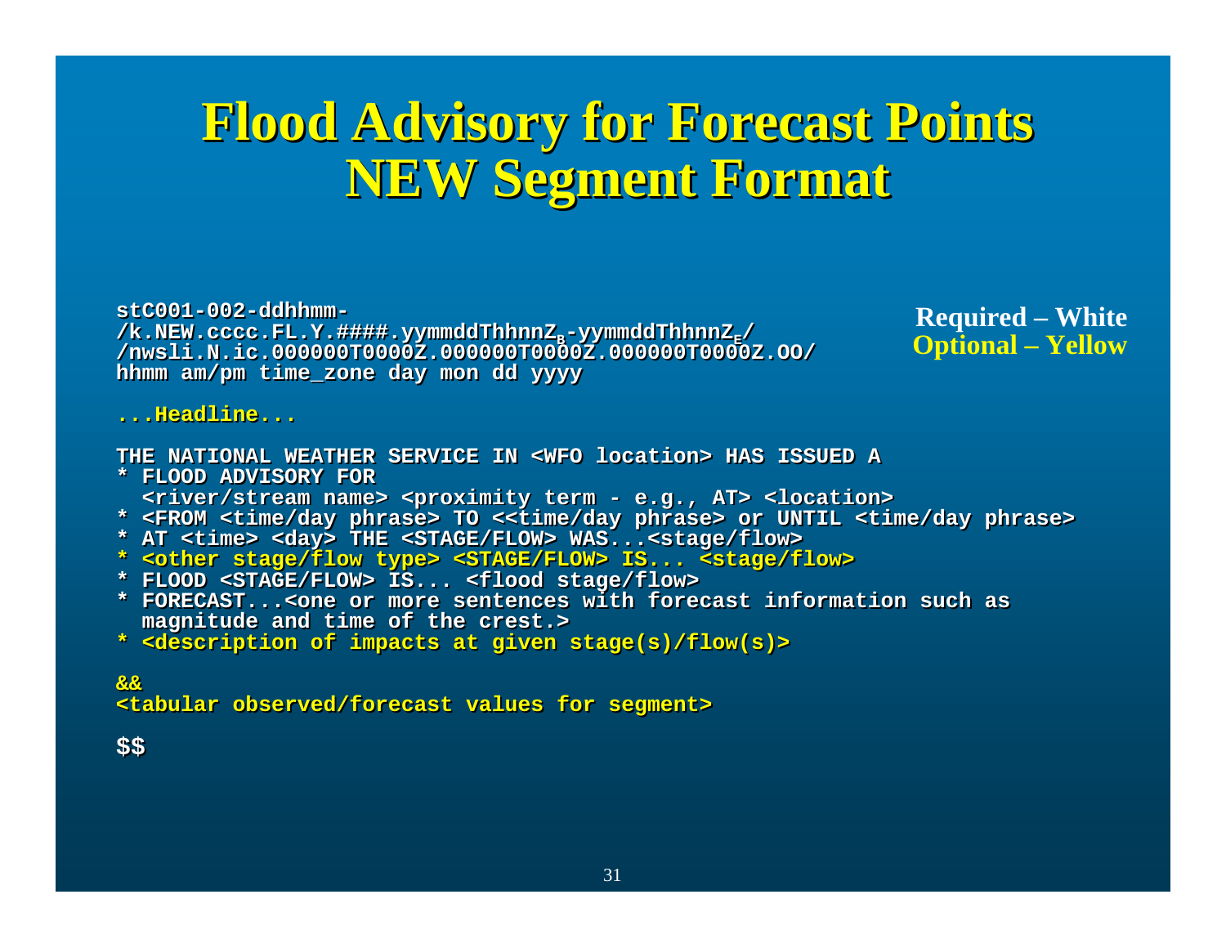## **Flood Advisory for Forecast Points Flood Advisory for Forecast Points Flood Advisory for Forecast Points NEW Segment Format NEW Segment Format NEW Segment**

**stC001-002-ddhhmm-stC001-002-ddhhmm-**/k.NEW.cccc.FL.Y.####.yymmddThhnnZ<sub>E</sub>-yymmddThhnnZ<sub>E</sub>/ **/nwsli.N.ic.000000T0000Z.000000T0000Z.000000T0000Z.OO/ /nwsli.N.ic.000000T0000Z.000000T0000Z.000000T0000Z.OO/ hhmm am/pm time\_zone day mon dd yyyy hhmm am/pm time\_zone day mon dd yyyy**

**Required – White Optional – Yellow**

### **...Headline......Headline...**

**THE NATIONAL WEATHER SERVICE IN <WFO location> HAS ISSUED ATHE NATIONAL WEATHER SERVICE IN <WFO location> HAS ISSUED A**

- **\* FLOOD ADVISORY FOR\* FLOOD ADVISORY FOR<river/stream name> <proximity term - e.g., AT> <location> <river/stream name> <proximity term - e.g., AT> <location>**
- **\* <FROM <time/day phrase> TO <<time/day phrase> or UNTIL <time/day phrase> \* <FROM <time/day phrase> TO <<time/day phrase> or UNTIL <time/day phrase>**
- **\* AT <time> <day> THE <STAGE/FLOW> WAS...<stage/flow> \* AT <time> <day> THE <STAGE/FLOW> WAS...<stage/flow>**
- **\* <other stage/flow type> <STAGE/FLOW> IS... <stage/flow> \* <other stage/flow type> <STAGE/FLOW> IS... <stage/flow>**
- **\* FLOOD <STAGE/FLOW> IS... <flood stage/flow> \* FLOOD <STAGE/FLOW> IS... <flood stage/flow>**
- **\* FORECAST...<one or more sentences with forecast information such as\* FORECAST...<one or more sentences with forecast information such as magnitude and time of the crest.> magnitude and time of the crest.>**
- **\* <description of impacts at given stage(s)/flow(s)> \* <description of impacts at given stage(s)/flow(s)>**

### **&&&&<tabular observed/forecast values for segment> <tabular observed/forecast values for segment>**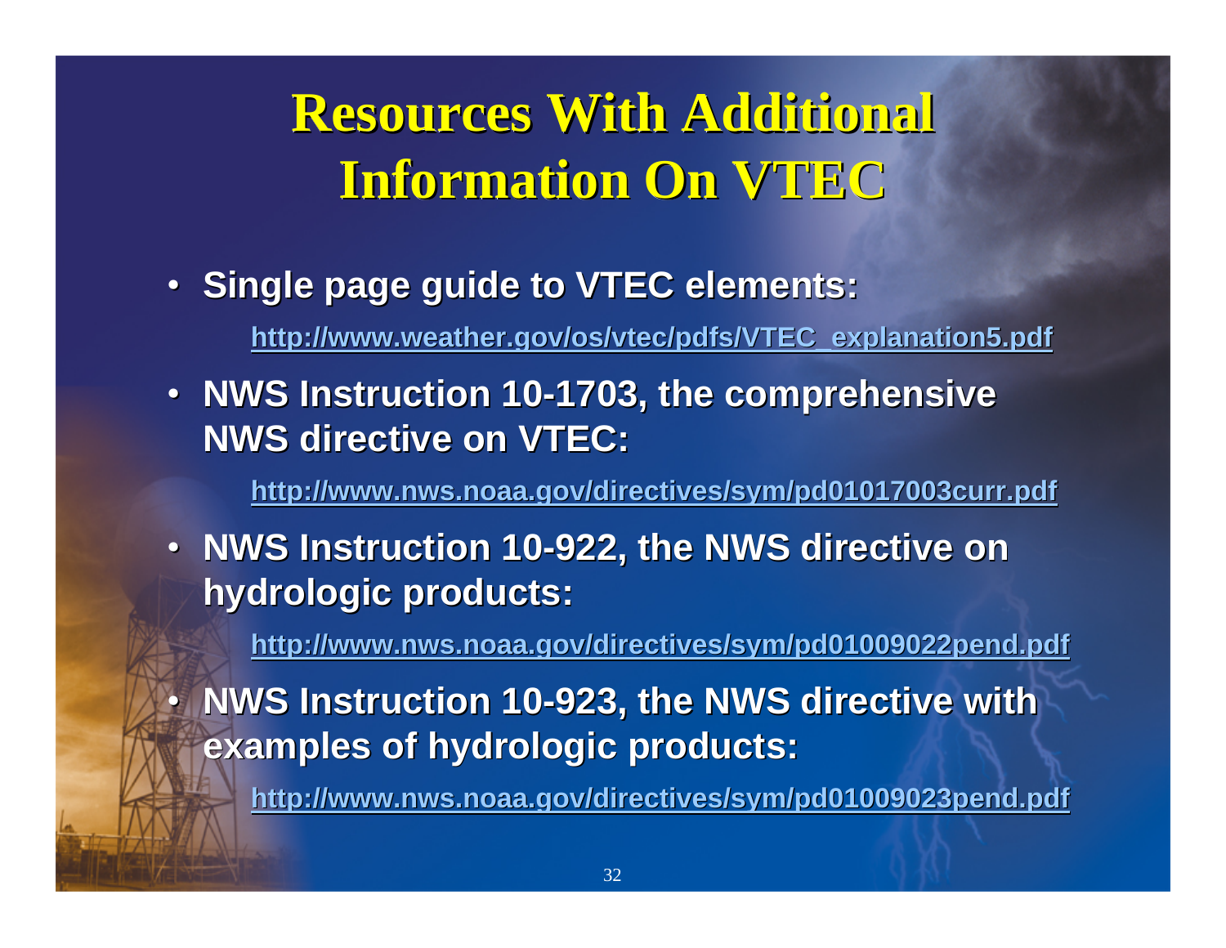# **Resources With Additional<br>Information On VTEC Information On VTEC**

• **Single page guide to VTEC elements: Single page guide to VTEC elements:**

•

**[http://www.weather.gov/os/vtec/pdfs/VTEC\\_explanation5.pdf](http://www.weather.gov/os/vtec/pdfs/VTEC_explanation5.pdf) http://www.weather.gov/os/vtec/pdfs/VTEC\_explanation5.pdf**

• **NWS Instruction 10-1703, the comprehensive NWS directive on VTEC:** 

**http://www.nws.noaa.gov/dir <http://www.nws.noaa.gov/directives/sym/pd01017003curr.pdf> ectives/sym/pd01017003curr.pdf**

• **NWS Instruction 10-922, the NWS directive on hydrologic products: hydrologic products:**

**<http://www.nws.noaa.gov/directives/sym/pd01009022pend.pdf> http://www.nws.noaa.gov/directives/sym/pd01009022pend.pdf**

**• NWS Instruction 10-923, the NWS directive with examples of hydrologic products: examples of hydrologic products:**

**<http://www.nws.noaa.gov/directives/sym/pd01009023pend.pdf> http://www.nws.noaa.gov/directives/sym/pd01009023pend.pdf**